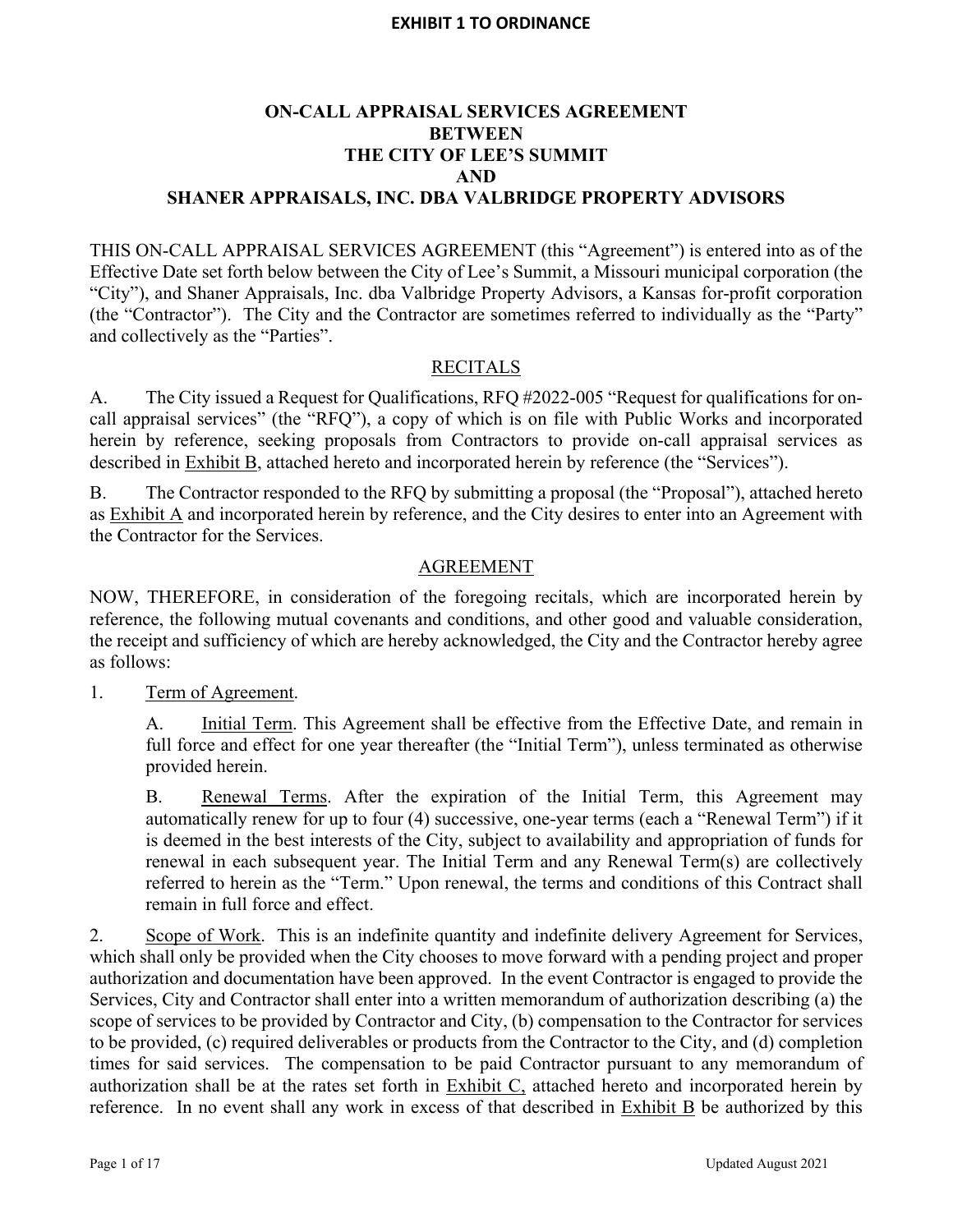# **ON-CALL APPRAISAL SERVICES AGREEMENT BETWEEN THE CITY OF LEE'S SUMMIT AND SHANER APPRAISALS, INC. DBA VALBRIDGE PROPERTY ADVISORS**

THIS ON-CALL APPRAISAL SERVICES AGREEMENT (this "Agreement") is entered into as of the Effective Date set forth below between the City of Lee's Summit, a Missouri municipal corporation (the "City"), and Shaner Appraisals, Inc. dba Valbridge Property Advisors, a Kansas for-profit corporation (the "Contractor"). The City and the Contractor are sometimes referred to individually as the "Party" and collectively as the "Parties".

# **RECITALS**

A. The City issued a Request for Qualifications, RFQ #2022-005 "Request for qualifications for oncall appraisal services" (the "RFQ"), a copy of which is on file with Public Works and incorporated herein by reference, seeking proposals from Contractors to provide on-call appraisal services as described in Exhibit B, attached hereto and incorporated herein by reference (the "Services").

B. The Contractor responded to the RFQ by submitting a proposal (the "Proposal"), attached hereto as Exhibit A and incorporated herein by reference, and the City desires to enter into an Agreement with the Contractor for the Services.

# AGREEMENT

NOW, THEREFORE, in consideration of the foregoing recitals, which are incorporated herein by reference, the following mutual covenants and conditions, and other good and valuable consideration, the receipt and sufficiency of which are hereby acknowledged, the City and the Contractor hereby agree as follows:

1. Term of Agreement.

A. Initial Term. This Agreement shall be effective from the Effective Date, and remain in full force and effect for one year thereafter (the "Initial Term"), unless terminated as otherwise provided herein.

B. Renewal Terms. After the expiration of the Initial Term, this Agreement may automatically renew for up to four (4) successive, one-year terms (each a "Renewal Term") if it is deemed in the best interests of the City, subject to availability and appropriation of funds for renewal in each subsequent year. The Initial Term and any Renewal Term(s) are collectively referred to herein as the "Term." Upon renewal, the terms and conditions of this Contract shall remain in full force and effect.

2. Scope of Work. This is an indefinite quantity and indefinite delivery Agreement for Services, which shall only be provided when the City chooses to move forward with a pending project and proper authorization and documentation have been approved. In the event Contractor is engaged to provide the Services, City and Contractor shall enter into a written memorandum of authorization describing (a) the scope of services to be provided by Contractor and City, (b) compensation to the Contractor for services to be provided, (c) required deliverables or products from the Contractor to the City, and (d) completion times for said services. The compensation to be paid Contractor pursuant to any memorandum of authorization shall be at the rates set forth in Exhibit C, attached hereto and incorporated herein by reference. In no event shall any work in excess of that described in Exhibit B be authorized by this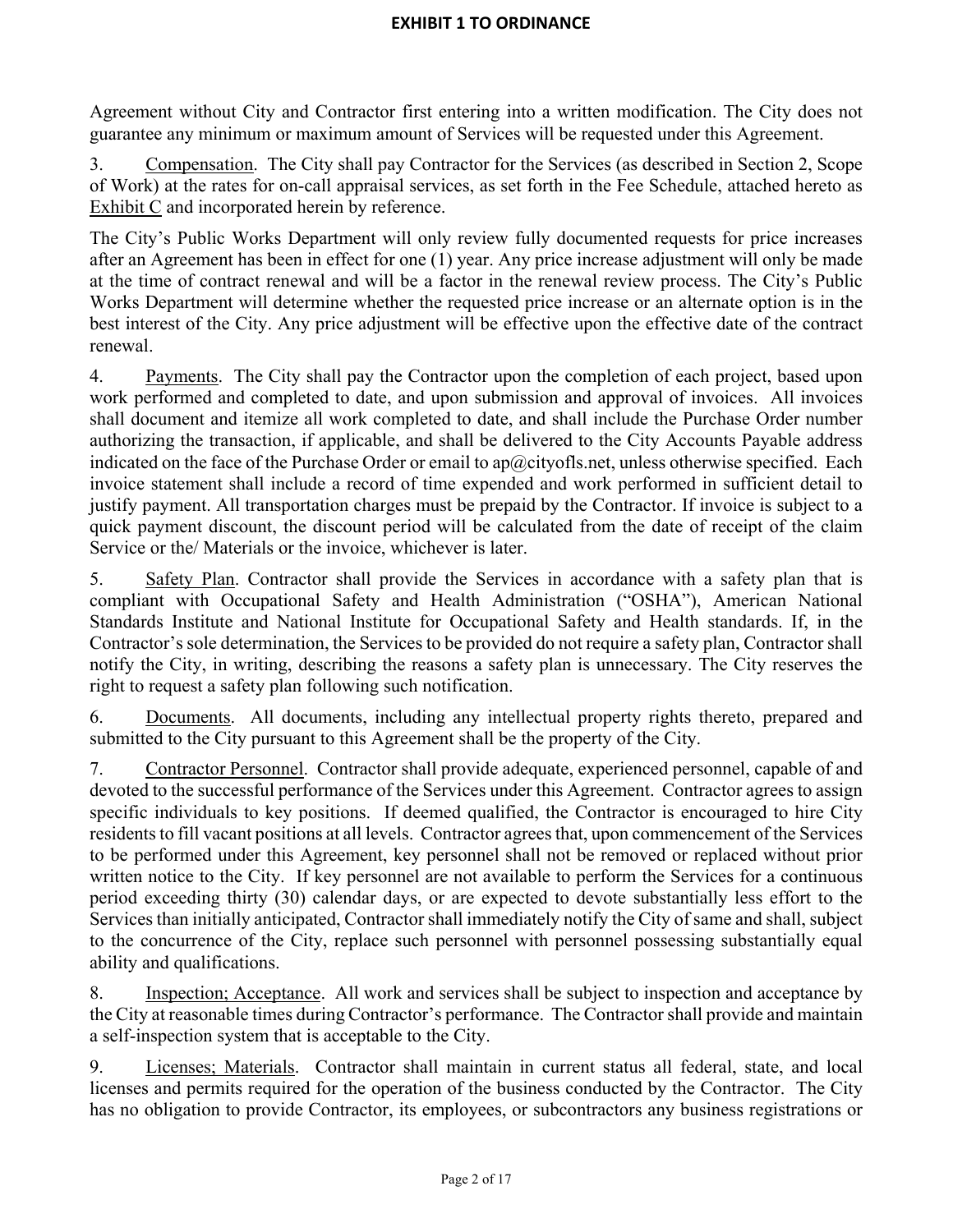Agreement without City and Contractor first entering into a written modification. The City does not guarantee any minimum or maximum amount of Services will be requested under this Agreement.

3. Compensation. The City shall pay Contractor for the Services (as described in Section 2, Scope of Work) at the rates for on-call appraisal services, as set forth in the Fee Schedule, attached hereto as Exhibit C and incorporated herein by reference.

The City's Public Works Department will only review fully documented requests for price increases after an Agreement has been in effect for one (1) year. Any price increase adjustment will only be made at the time of contract renewal and will be a factor in the renewal review process. The City's Public Works Department will determine whether the requested price increase or an alternate option is in the best interest of the City. Any price adjustment will be effective upon the effective date of the contract renewal.

4. Payments. The City shall pay the Contractor upon the completion of each project, based upon work performed and completed to date, and upon submission and approval of invoices. All invoices shall document and itemize all work completed to date, and shall include the Purchase Order number authorizing the transaction, if applicable, and shall be delivered to the City Accounts Payable address indicated on the face of the Purchase Order or email to ap $@c$ ityofls.net, unless otherwise specified. Each invoice statement shall include a record of time expended and work performed in sufficient detail to justify payment. All transportation charges must be prepaid by the Contractor. If invoice is subject to a quick payment discount, the discount period will be calculated from the date of receipt of the claim Service or the/ Materials or the invoice, whichever is later.

5. Safety Plan. Contractor shall provide the Services in accordance with a safety plan that is compliant with Occupational Safety and Health Administration ("OSHA"), American National Standards Institute and National Institute for Occupational Safety and Health standards. If, in the Contractor's sole determination, the Services to be provided do not require a safety plan, Contractor shall notify the City, in writing, describing the reasons a safety plan is unnecessary. The City reserves the right to request a safety plan following such notification.

6. Documents. All documents, including any intellectual property rights thereto, prepared and submitted to the City pursuant to this Agreement shall be the property of the City.

7. Contractor Personnel. Contractor shall provide adequate, experienced personnel, capable of and devoted to the successful performance of the Services under this Agreement. Contractor agrees to assign specific individuals to key positions. If deemed qualified, the Contractor is encouraged to hire City residents to fill vacant positions at all levels. Contractor agrees that, upon commencement of the Services to be performed under this Agreement, key personnel shall not be removed or replaced without prior written notice to the City. If key personnel are not available to perform the Services for a continuous period exceeding thirty (30) calendar days, or are expected to devote substantially less effort to the Services than initially anticipated, Contractor shall immediately notify the City of same and shall, subject to the concurrence of the City, replace such personnel with personnel possessing substantially equal ability and qualifications.

8. Inspection; Acceptance. All work and services shall be subject to inspection and acceptance by the City at reasonable times during Contractor's performance. The Contractor shall provide and maintain a self-inspection system that is acceptable to the City.

9. Licenses; Materials. Contractor shall maintain in current status all federal, state, and local licenses and permits required for the operation of the business conducted by the Contractor. The City has no obligation to provide Contractor, its employees, or subcontractors any business registrations or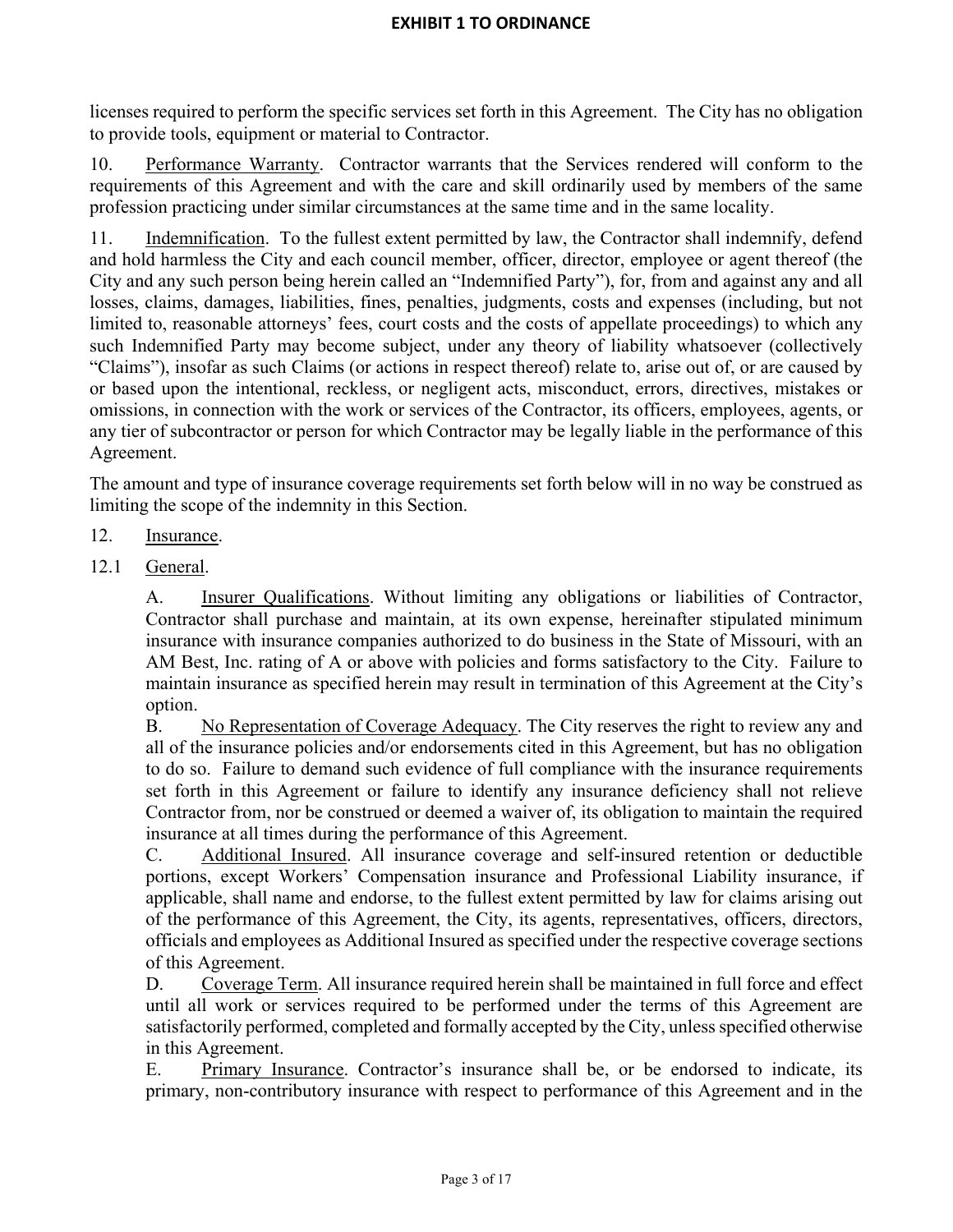licenses required to perform the specific services set forth in this Agreement. The City has no obligation to provide tools, equipment or material to Contractor.

10. Performance Warranty. Contractor warrants that the Services rendered will conform to the requirements of this Agreement and with the care and skill ordinarily used by members of the same profession practicing under similar circumstances at the same time and in the same locality.

11. Indemnification. To the fullest extent permitted by law, the Contractor shall indemnify, defend and hold harmless the City and each council member, officer, director, employee or agent thereof (the City and any such person being herein called an "Indemnified Party"), for, from and against any and all losses, claims, damages, liabilities, fines, penalties, judgments, costs and expenses (including, but not limited to, reasonable attorneys' fees, court costs and the costs of appellate proceedings) to which any such Indemnified Party may become subject, under any theory of liability whatsoever (collectively "Claims"), insofar as such Claims (or actions in respect thereof) relate to, arise out of, or are caused by or based upon the intentional, reckless, or negligent acts, misconduct, errors, directives, mistakes or omissions, in connection with the work or services of the Contractor, its officers, employees, agents, or any tier of subcontractor or person for which Contractor may be legally liable in the performance of this Agreement.

The amount and type of insurance coverage requirements set forth below will in no way be construed as limiting the scope of the indemnity in this Section.

# 12. Insurance.

12.1 General.

A. Insurer Qualifications. Without limiting any obligations or liabilities of Contractor, Contractor shall purchase and maintain, at its own expense, hereinafter stipulated minimum insurance with insurance companies authorized to do business in the State of Missouri, with an AM Best, Inc. rating of A or above with policies and forms satisfactory to the City. Failure to maintain insurance as specified herein may result in termination of this Agreement at the City's option.

B. No Representation of Coverage Adequacy. The City reserves the right to review any and all of the insurance policies and/or endorsements cited in this Agreement, but has no obligation to do so. Failure to demand such evidence of full compliance with the insurance requirements set forth in this Agreement or failure to identify any insurance deficiency shall not relieve Contractor from, nor be construed or deemed a waiver of, its obligation to maintain the required insurance at all times during the performance of this Agreement.

C. Additional Insured. All insurance coverage and self-insured retention or deductible portions, except Workers' Compensation insurance and Professional Liability insurance, if applicable, shall name and endorse, to the fullest extent permitted by law for claims arising out of the performance of this Agreement, the City, its agents, representatives, officers, directors, officials and employees as Additional Insured as specified under the respective coverage sections of this Agreement.

D. Coverage Term. All insurance required herein shall be maintained in full force and effect until all work or services required to be performed under the terms of this Agreement are satisfactorily performed, completed and formally accepted by the City, unless specified otherwise in this Agreement.

E. Primary Insurance. Contractor's insurance shall be, or be endorsed to indicate, its primary, non-contributory insurance with respect to performance of this Agreement and in the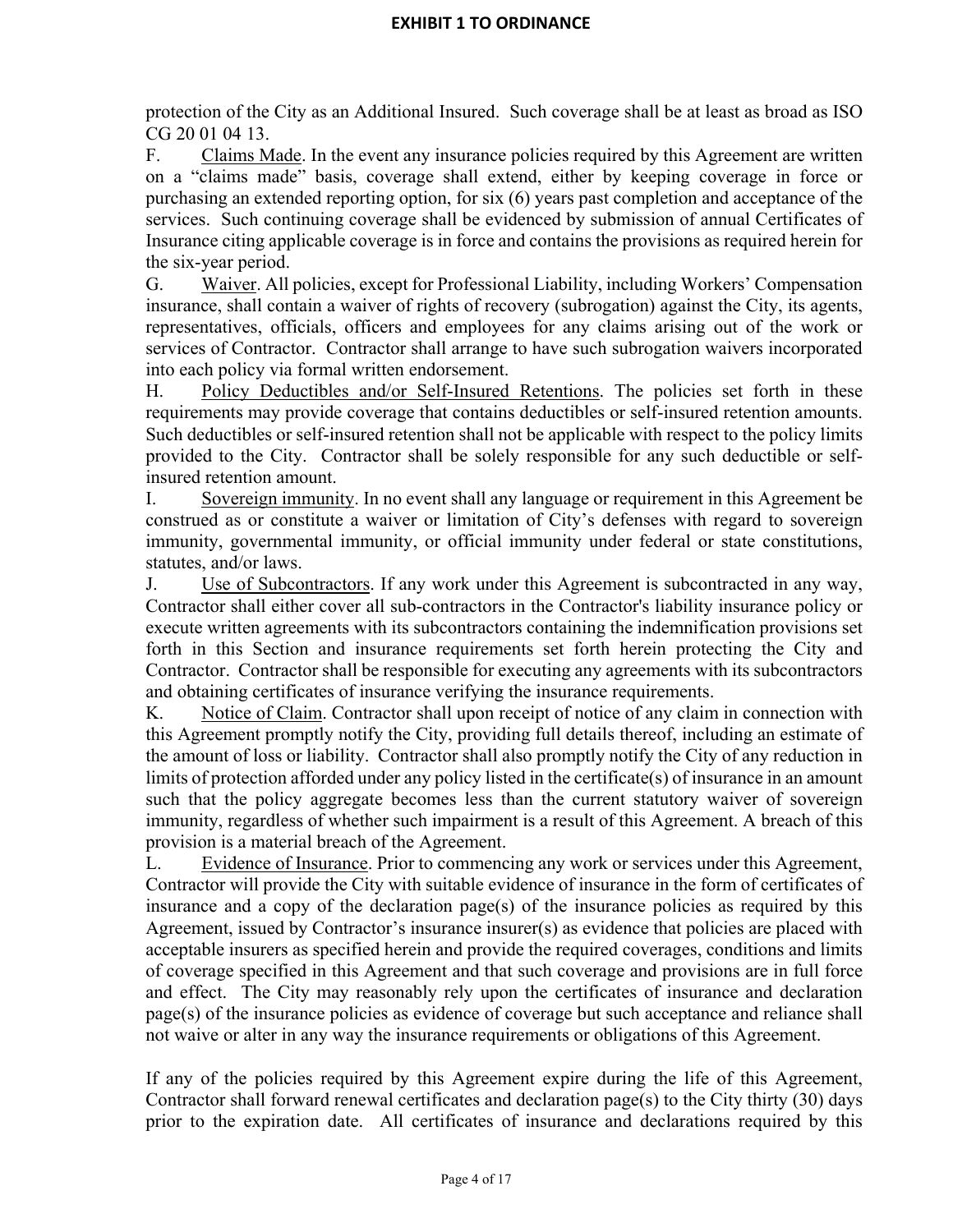protection of the City as an Additional Insured. Such coverage shall be at least as broad as ISO CG 20 01 04 13.

F. Claims Made. In the event any insurance policies required by this Agreement are written on a "claims made" basis, coverage shall extend, either by keeping coverage in force or purchasing an extended reporting option, for six (6) years past completion and acceptance of the services. Such continuing coverage shall be evidenced by submission of annual Certificates of Insurance citing applicable coverage is in force and contains the provisions as required herein for the six-year period.

G. Waiver. All policies, except for Professional Liability, including Workers' Compensation insurance, shall contain a waiver of rights of recovery (subrogation) against the City, its agents, representatives, officials, officers and employees for any claims arising out of the work or services of Contractor. Contractor shall arrange to have such subrogation waivers incorporated into each policy via formal written endorsement.

H. Policy Deductibles and/or Self-Insured Retentions. The policies set forth in these requirements may provide coverage that contains deductibles or self-insured retention amounts. Such deductibles or self-insured retention shall not be applicable with respect to the policy limits provided to the City. Contractor shall be solely responsible for any such deductible or selfinsured retention amount.

I. Sovereign immunity. In no event shall any language or requirement in this Agreement be construed as or constitute a waiver or limitation of City's defenses with regard to sovereign immunity, governmental immunity, or official immunity under federal or state constitutions, statutes, and/or laws.

J. Use of Subcontractors. If any work under this Agreement is subcontracted in any way, Contractor shall either cover all sub-contractors in the Contractor's liability insurance policy or execute written agreements with its subcontractors containing the indemnification provisions set forth in this Section and insurance requirements set forth herein protecting the City and Contractor. Contractor shall be responsible for executing any agreements with its subcontractors and obtaining certificates of insurance verifying the insurance requirements.

K. Notice of Claim. Contractor shall upon receipt of notice of any claim in connection with this Agreement promptly notify the City, providing full details thereof, including an estimate of the amount of loss or liability. Contractor shall also promptly notify the City of any reduction in limits of protection afforded under any policy listed in the certificate(s) of insurance in an amount such that the policy aggregate becomes less than the current statutory waiver of sovereign immunity, regardless of whether such impairment is a result of this Agreement. A breach of this provision is a material breach of the Agreement.

L. Evidence of Insurance. Prior to commencing any work or services under this Agreement, Contractor will provide the City with suitable evidence of insurance in the form of certificates of insurance and a copy of the declaration page(s) of the insurance policies as required by this Agreement, issued by Contractor's insurance insurer(s) as evidence that policies are placed with acceptable insurers as specified herein and provide the required coverages, conditions and limits of coverage specified in this Agreement and that such coverage and provisions are in full force and effect. The City may reasonably rely upon the certificates of insurance and declaration page(s) of the insurance policies as evidence of coverage but such acceptance and reliance shall not waive or alter in any way the insurance requirements or obligations of this Agreement.

If any of the policies required by this Agreement expire during the life of this Agreement, Contractor shall forward renewal certificates and declaration page(s) to the City thirty (30) days prior to the expiration date. All certificates of insurance and declarations required by this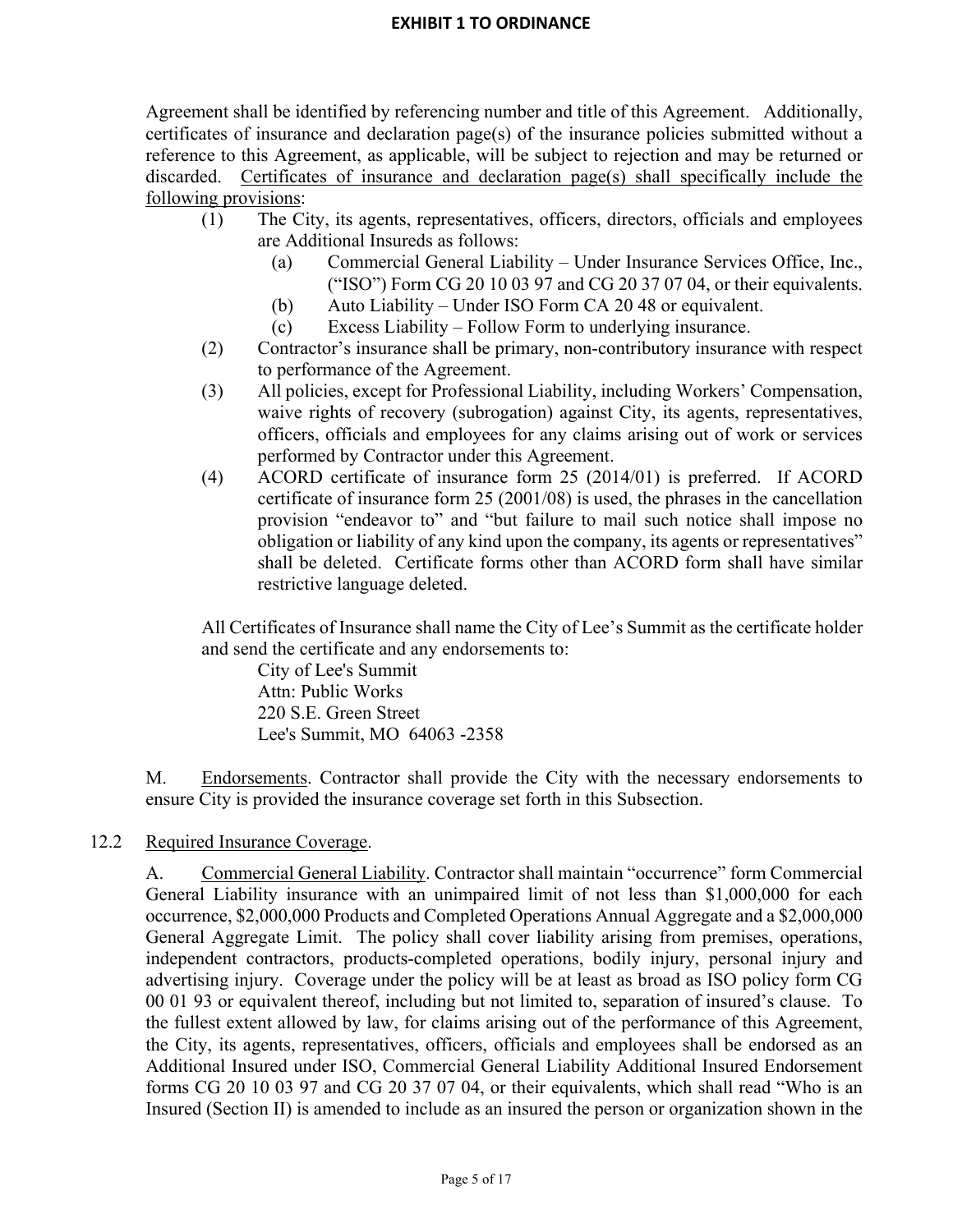Agreement shall be identified by referencing number and title of this Agreement. Additionally, certificates of insurance and declaration page(s) of the insurance policies submitted without a reference to this Agreement, as applicable, will be subject to rejection and may be returned or discarded. Certificates of insurance and declaration page(s) shall specifically include the following provisions:

- (1) The City, its agents, representatives, officers, directors, officials and employees are Additional Insureds as follows:
	- (a) Commercial General Liability Under Insurance Services Office, Inc., ("ISO") Form CG 20 10 03 97 and CG 20 37 07 04, or their equivalents.
	- (b) Auto Liability Under ISO Form CA 20 48 or equivalent.
	- (c) Excess Liability Follow Form to underlying insurance.
- (2) Contractor's insurance shall be primary, non-contributory insurance with respect to performance of the Agreement.
- (3) All policies, except for Professional Liability, including Workers' Compensation, waive rights of recovery (subrogation) against City, its agents, representatives, officers, officials and employees for any claims arising out of work or services performed by Contractor under this Agreement.
- (4) ACORD certificate of insurance form 25 (2014/01) is preferred. If ACORD certificate of insurance form 25 (2001/08) is used, the phrases in the cancellation provision "endeavor to" and "but failure to mail such notice shall impose no obligation or liability of any kind upon the company, its agents or representatives" shall be deleted. Certificate forms other than ACORD form shall have similar restrictive language deleted.

All Certificates of Insurance shall name the City of Lee's Summit as the certificate holder and send the certificate and any endorsements to:

City of Lee's Summit Attn: Public Works 220 S.E. Green Street Lee's Summit, MO 64063 -2358

M. Endorsements. Contractor shall provide the City with the necessary endorsements to ensure City is provided the insurance coverage set forth in this Subsection.

# 12.2 Required Insurance Coverage.

A. Commercial General Liability. Contractor shall maintain "occurrence" form Commercial General Liability insurance with an unimpaired limit of not less than \$1,000,000 for each occurrence, \$2,000,000 Products and Completed Operations Annual Aggregate and a \$2,000,000 General Aggregate Limit. The policy shall cover liability arising from premises, operations, independent contractors, products-completed operations, bodily injury, personal injury and advertising injury. Coverage under the policy will be at least as broad as ISO policy form CG 00 01 93 or equivalent thereof, including but not limited to, separation of insured's clause. To the fullest extent allowed by law, for claims arising out of the performance of this Agreement, the City, its agents, representatives, officers, officials and employees shall be endorsed as an Additional Insured under ISO, Commercial General Liability Additional Insured Endorsement forms CG 20 10 03 97 and CG 20 37 07 04, or their equivalents, which shall read "Who is an Insured (Section II) is amended to include as an insured the person or organization shown in the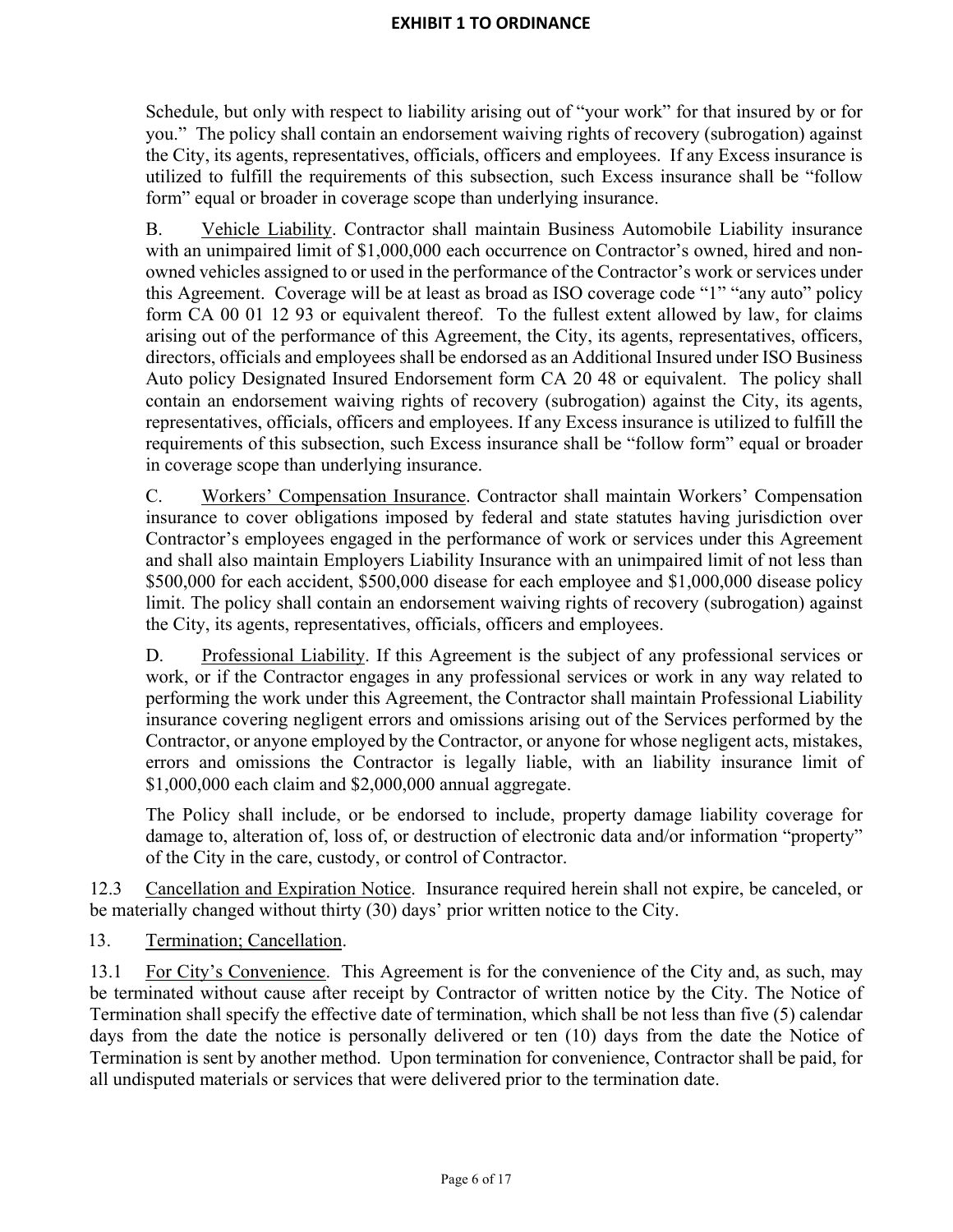Schedule, but only with respect to liability arising out of "your work" for that insured by or for you." The policy shall contain an endorsement waiving rights of recovery (subrogation) against the City, its agents, representatives, officials, officers and employees. If any Excess insurance is utilized to fulfill the requirements of this subsection, such Excess insurance shall be "follow form" equal or broader in coverage scope than underlying insurance.

B. Vehicle Liability. Contractor shall maintain Business Automobile Liability insurance with an unimpaired limit of \$1,000,000 each occurrence on Contractor's owned, hired and nonowned vehicles assigned to or used in the performance of the Contractor's work or services under this Agreement. Coverage will be at least as broad as ISO coverage code "1" "any auto" policy form CA 00 01 12 93 or equivalent thereof. To the fullest extent allowed by law, for claims arising out of the performance of this Agreement, the City, its agents, representatives, officers, directors, officials and employees shall be endorsed as an Additional Insured under ISO Business Auto policy Designated Insured Endorsement form CA 20 48 or equivalent. The policy shall contain an endorsement waiving rights of recovery (subrogation) against the City, its agents, representatives, officials, officers and employees. If any Excess insurance is utilized to fulfill the requirements of this subsection, such Excess insurance shall be "follow form" equal or broader in coverage scope than underlying insurance.

C. Workers' Compensation Insurance. Contractor shall maintain Workers' Compensation insurance to cover obligations imposed by federal and state statutes having jurisdiction over Contractor's employees engaged in the performance of work or services under this Agreement and shall also maintain Employers Liability Insurance with an unimpaired limit of not less than \$500,000 for each accident, \$500,000 disease for each employee and \$1,000,000 disease policy limit. The policy shall contain an endorsement waiving rights of recovery (subrogation) against the City, its agents, representatives, officials, officers and employees.

D. Professional Liability. If this Agreement is the subject of any professional services or work, or if the Contractor engages in any professional services or work in any way related to performing the work under this Agreement, the Contractor shall maintain Professional Liability insurance covering negligent errors and omissions arising out of the Services performed by the Contractor, or anyone employed by the Contractor, or anyone for whose negligent acts, mistakes, errors and omissions the Contractor is legally liable, with an liability insurance limit of \$1,000,000 each claim and \$2,000,000 annual aggregate.

The Policy shall include, or be endorsed to include, property damage liability coverage for damage to, alteration of, loss of, or destruction of electronic data and/or information "property" of the City in the care, custody, or control of Contractor.

12.3 Cancellation and Expiration Notice. Insurance required herein shall not expire, be canceled, or be materially changed without thirty (30) days' prior written notice to the City.

13. Termination; Cancellation.

13.1 For City's Convenience. This Agreement is for the convenience of the City and, as such, may be terminated without cause after receipt by Contractor of written notice by the City. The Notice of Termination shall specify the effective date of termination, which shall be not less than five (5) calendar days from the date the notice is personally delivered or ten (10) days from the date the Notice of Termination is sent by another method. Upon termination for convenience, Contractor shall be paid, for all undisputed materials or services that were delivered prior to the termination date.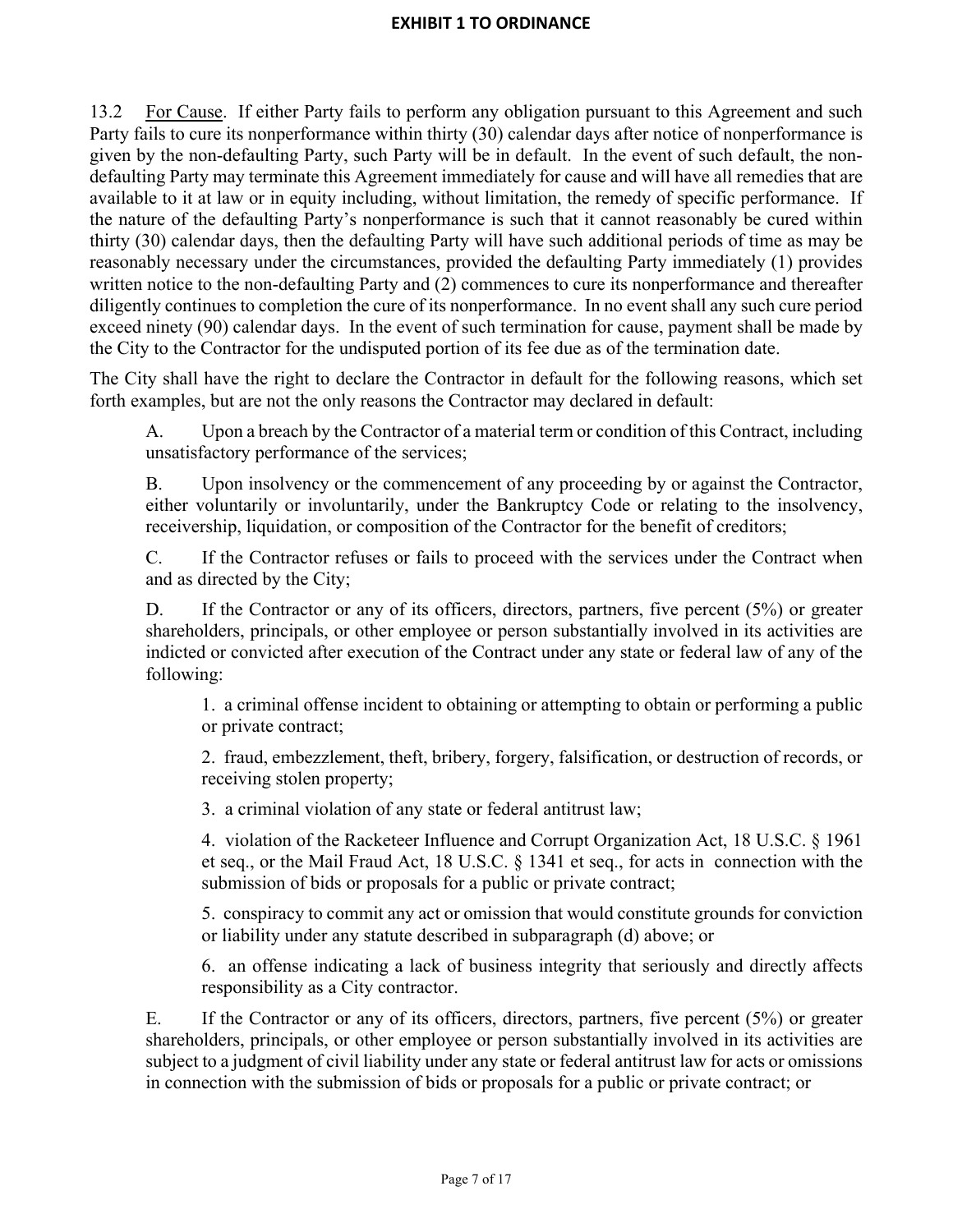13.2 For Cause. If either Party fails to perform any obligation pursuant to this Agreement and such Party fails to cure its nonperformance within thirty (30) calendar days after notice of nonperformance is given by the non-defaulting Party, such Party will be in default. In the event of such default, the nondefaulting Party may terminate this Agreement immediately for cause and will have all remedies that are available to it at law or in equity including, without limitation, the remedy of specific performance. If the nature of the defaulting Party's nonperformance is such that it cannot reasonably be cured within thirty (30) calendar days, then the defaulting Party will have such additional periods of time as may be reasonably necessary under the circumstances, provided the defaulting Party immediately (1) provides written notice to the non-defaulting Party and (2) commences to cure its nonperformance and thereafter diligently continues to completion the cure of its nonperformance. In no event shall any such cure period exceed ninety (90) calendar days. In the event of such termination for cause, payment shall be made by the City to the Contractor for the undisputed portion of its fee due as of the termination date.

The City shall have the right to declare the Contractor in default for the following reasons, which set forth examples, but are not the only reasons the Contractor may declared in default:

A. Upon a breach by the Contractor of a material term or condition of this Contract, including unsatisfactory performance of the services;

B. Upon insolvency or the commencement of any proceeding by or against the Contractor, either voluntarily or involuntarily, under the Bankruptcy Code or relating to the insolvency, receivership, liquidation, or composition of the Contractor for the benefit of creditors;

C. If the Contractor refuses or fails to proceed with the services under the Contract when and as directed by the City;

D. If the Contractor or any of its officers, directors, partners, five percent (5%) or greater shareholders, principals, or other employee or person substantially involved in its activities are indicted or convicted after execution of the Contract under any state or federal law of any of the following:

1. a criminal offense incident to obtaining or attempting to obtain or performing a public or private contract;

2. fraud, embezzlement, theft, bribery, forgery, falsification, or destruction of records, or receiving stolen property;

3. a criminal violation of any state or federal antitrust law;

4. violation of the Racketeer Influence and Corrupt Organization Act, 18 U.S.C. § 1961 et seq., or the Mail Fraud Act, 18 U.S.C. § 1341 et seq., for acts in connection with the submission of bids or proposals for a public or private contract;

5. conspiracy to commit any act or omission that would constitute grounds for conviction or liability under any statute described in subparagraph (d) above; or

6. an offense indicating a lack of business integrity that seriously and directly affects responsibility as a City contractor.

E. If the Contractor or any of its officers, directors, partners, five percent (5%) or greater shareholders, principals, or other employee or person substantially involved in its activities are subject to a judgment of civil liability under any state or federal antitrust law for acts or omissions in connection with the submission of bids or proposals for a public or private contract; or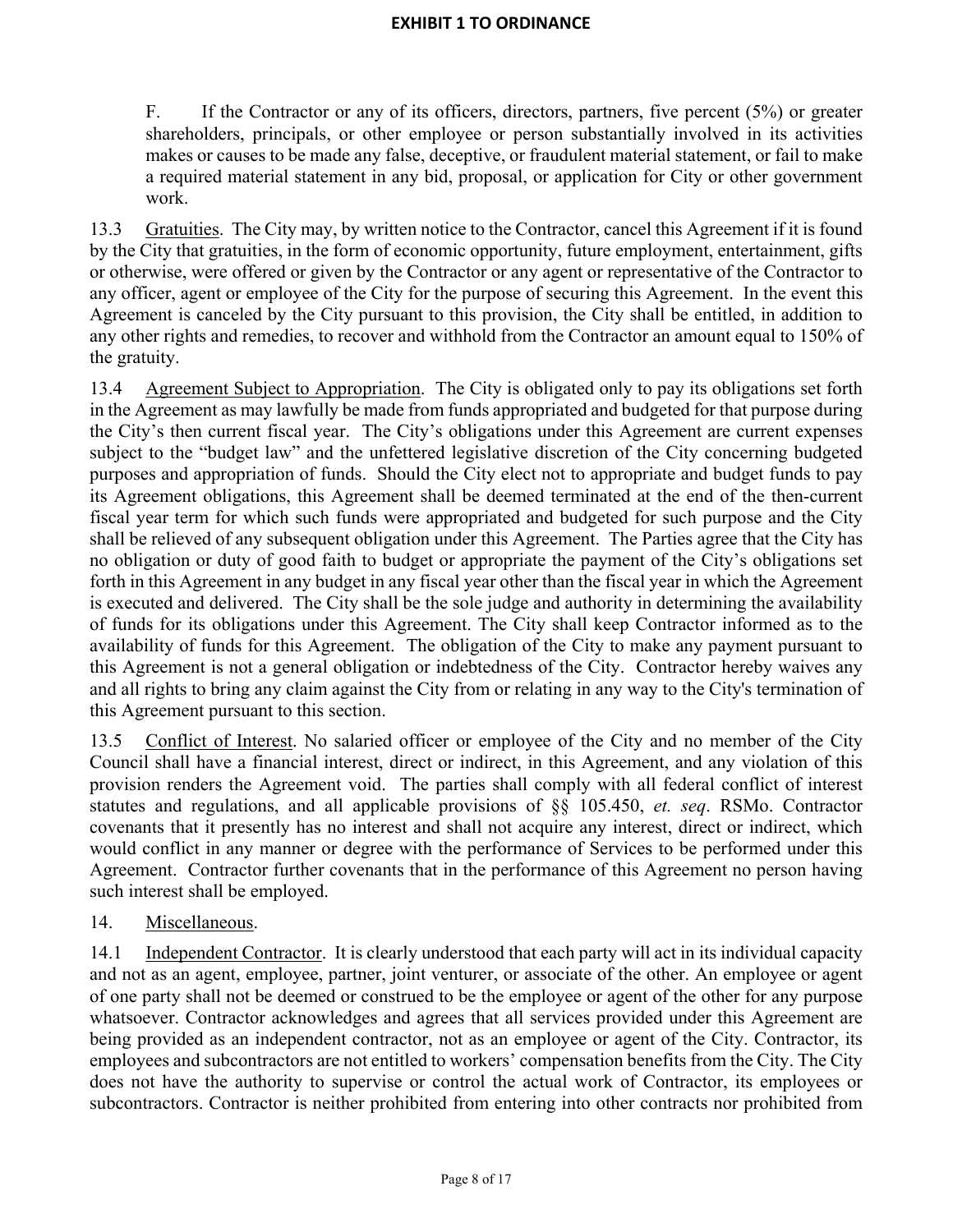F. If the Contractor or any of its officers, directors, partners, five percent (5%) or greater shareholders, principals, or other employee or person substantially involved in its activities makes or causes to be made any false, deceptive, or fraudulent material statement, or fail to make a required material statement in any bid, proposal, or application for City or other government work.

13.3 Gratuities. The City may, by written notice to the Contractor, cancel this Agreement if it is found by the City that gratuities, in the form of economic opportunity, future employment, entertainment, gifts or otherwise, were offered or given by the Contractor or any agent or representative of the Contractor to any officer, agent or employee of the City for the purpose of securing this Agreement. In the event this Agreement is canceled by the City pursuant to this provision, the City shall be entitled, in addition to any other rights and remedies, to recover and withhold from the Contractor an amount equal to 150% of the gratuity.

13.4 Agreement Subject to Appropriation. The City is obligated only to pay its obligations set forth in the Agreement as may lawfully be made from funds appropriated and budgeted for that purpose during the City's then current fiscal year. The City's obligations under this Agreement are current expenses subject to the "budget law" and the unfettered legislative discretion of the City concerning budgeted purposes and appropriation of funds. Should the City elect not to appropriate and budget funds to pay its Agreement obligations, this Agreement shall be deemed terminated at the end of the then-current fiscal year term for which such funds were appropriated and budgeted for such purpose and the City shall be relieved of any subsequent obligation under this Agreement. The Parties agree that the City has no obligation or duty of good faith to budget or appropriate the payment of the City's obligations set forth in this Agreement in any budget in any fiscal year other than the fiscal year in which the Agreement is executed and delivered. The City shall be the sole judge and authority in determining the availability of funds for its obligations under this Agreement. The City shall keep Contractor informed as to the availability of funds for this Agreement. The obligation of the City to make any payment pursuant to this Agreement is not a general obligation or indebtedness of the City. Contractor hereby waives any and all rights to bring any claim against the City from or relating in any way to the City's termination of this Agreement pursuant to this section.

13.5 Conflict of Interest. No salaried officer or employee of the City and no member of the City Council shall have a financial interest, direct or indirect, in this Agreement, and any violation of this provision renders the Agreement void. The parties shall comply with all federal conflict of interest statutes and regulations, and all applicable provisions of §§ 105.450, *et. seq*. RSMo. Contractor covenants that it presently has no interest and shall not acquire any interest, direct or indirect, which would conflict in any manner or degree with the performance of Services to be performed under this Agreement. Contractor further covenants that in the performance of this Agreement no person having such interest shall be employed.

# 14. Miscellaneous.

14.1 Independent Contractor. It is clearly understood that each party will act in its individual capacity and not as an agent, employee, partner, joint venturer, or associate of the other. An employee or agent of one party shall not be deemed or construed to be the employee or agent of the other for any purpose whatsoever. Contractor acknowledges and agrees that all services provided under this Agreement are being provided as an independent contractor, not as an employee or agent of the City. Contractor, its employees and subcontractors are not entitled to workers' compensation benefits from the City. The City does not have the authority to supervise or control the actual work of Contractor, its employees or subcontractors. Contractor is neither prohibited from entering into other contracts nor prohibited from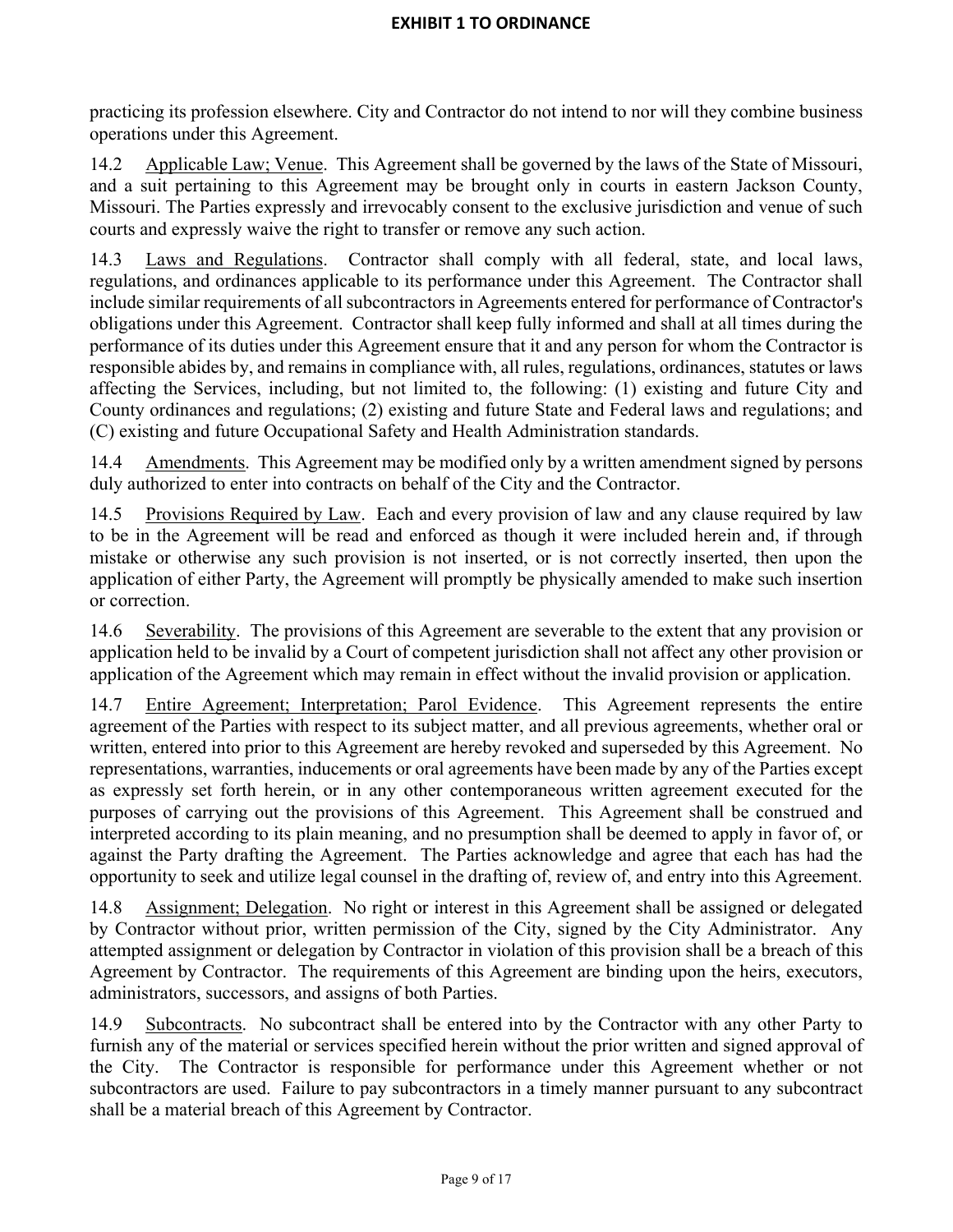practicing its profession elsewhere. City and Contractor do not intend to nor will they combine business operations under this Agreement.

14.2 Applicable Law; Venue. This Agreement shall be governed by the laws of the State of Missouri, and a suit pertaining to this Agreement may be brought only in courts in eastern Jackson County, Missouri. The Parties expressly and irrevocably consent to the exclusive jurisdiction and venue of such courts and expressly waive the right to transfer or remove any such action.

14.3 Laws and Regulations. Contractor shall comply with all federal, state, and local laws, regulations, and ordinances applicable to its performance under this Agreement. The Contractor shall include similar requirements of all subcontractors in Agreements entered for performance of Contractor's obligations under this Agreement. Contractor shall keep fully informed and shall at all times during the performance of its duties under this Agreement ensure that it and any person for whom the Contractor is responsible abides by, and remains in compliance with, all rules, regulations, ordinances, statutes or laws affecting the Services, including, but not limited to, the following: (1) existing and future City and County ordinances and regulations; (2) existing and future State and Federal laws and regulations; and (C) existing and future Occupational Safety and Health Administration standards.

14.4 Amendments. This Agreement may be modified only by a written amendment signed by persons duly authorized to enter into contracts on behalf of the City and the Contractor.

14.5 Provisions Required by Law. Each and every provision of law and any clause required by law to be in the Agreement will be read and enforced as though it were included herein and, if through mistake or otherwise any such provision is not inserted, or is not correctly inserted, then upon the application of either Party, the Agreement will promptly be physically amended to make such insertion or correction.

14.6 Severability. The provisions of this Agreement are severable to the extent that any provision or application held to be invalid by a Court of competent jurisdiction shall not affect any other provision or application of the Agreement which may remain in effect without the invalid provision or application.

14.7 Entire Agreement; Interpretation; Parol Evidence. This Agreement represents the entire agreement of the Parties with respect to its subject matter, and all previous agreements, whether oral or written, entered into prior to this Agreement are hereby revoked and superseded by this Agreement. No representations, warranties, inducements or oral agreements have been made by any of the Parties except as expressly set forth herein, or in any other contemporaneous written agreement executed for the purposes of carrying out the provisions of this Agreement. This Agreement shall be construed and interpreted according to its plain meaning, and no presumption shall be deemed to apply in favor of, or against the Party drafting the Agreement. The Parties acknowledge and agree that each has had the opportunity to seek and utilize legal counsel in the drafting of, review of, and entry into this Agreement.

14.8 Assignment; Delegation. No right or interest in this Agreement shall be assigned or delegated by Contractor without prior, written permission of the City, signed by the City Administrator. Any attempted assignment or delegation by Contractor in violation of this provision shall be a breach of this Agreement by Contractor. The requirements of this Agreement are binding upon the heirs, executors, administrators, successors, and assigns of both Parties.

14.9 Subcontracts. No subcontract shall be entered into by the Contractor with any other Party to furnish any of the material or services specified herein without the prior written and signed approval of the City. The Contractor is responsible for performance under this Agreement whether or not subcontractors are used. Failure to pay subcontractors in a timely manner pursuant to any subcontract shall be a material breach of this Agreement by Contractor.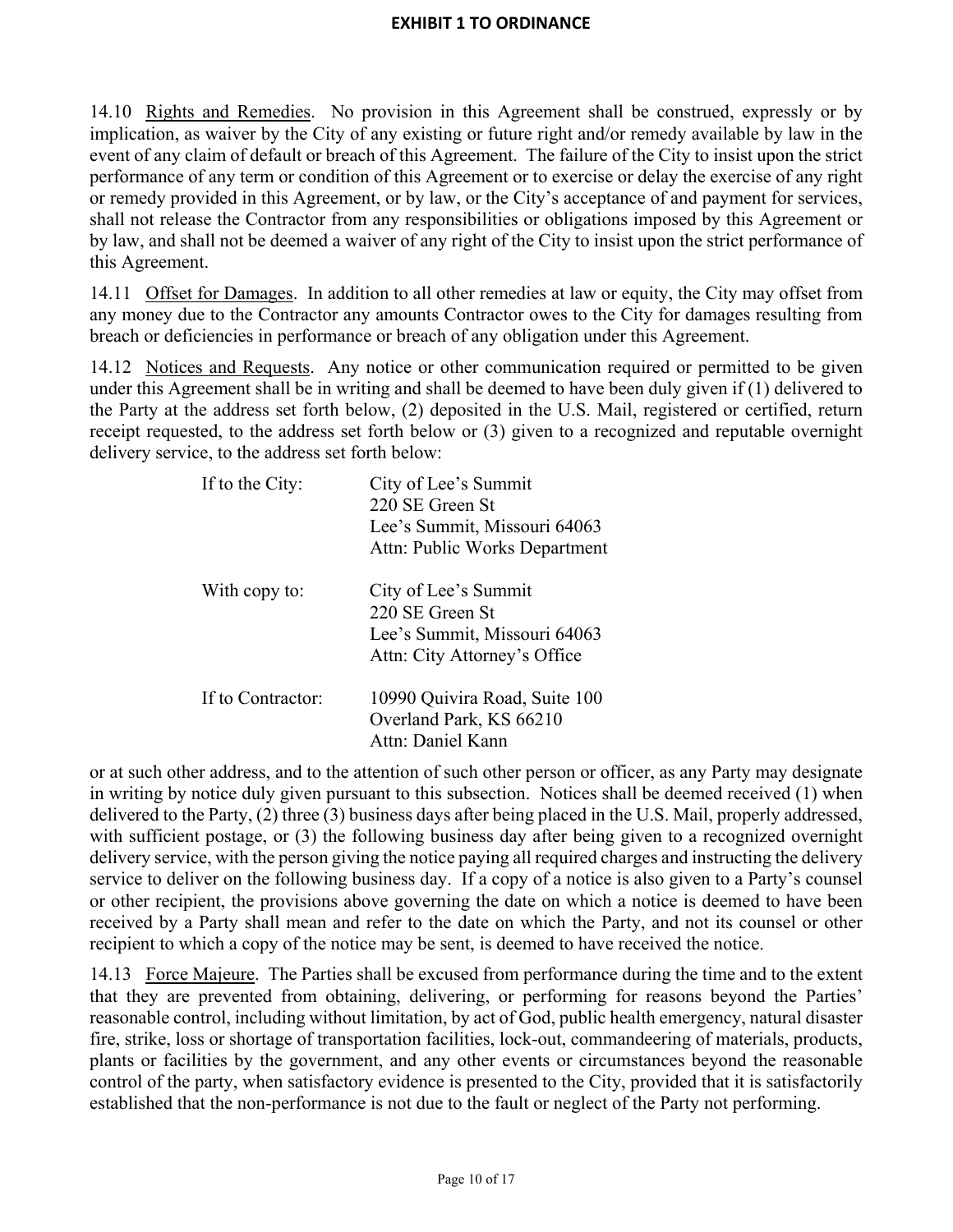14.10 Rights and Remedies. No provision in this Agreement shall be construed, expressly or by implication, as waiver by the City of any existing or future right and/or remedy available by law in the event of any claim of default or breach of this Agreement. The failure of the City to insist upon the strict performance of any term or condition of this Agreement or to exercise or delay the exercise of any right or remedy provided in this Agreement, or by law, or the City's acceptance of and payment for services, shall not release the Contractor from any responsibilities or obligations imposed by this Agreement or by law, and shall not be deemed a waiver of any right of the City to insist upon the strict performance of this Agreement.

14.11 Offset for Damages. In addition to all other remedies at law or equity, the City may offset from any money due to the Contractor any amounts Contractor owes to the City for damages resulting from breach or deficiencies in performance or breach of any obligation under this Agreement.

14.12 Notices and Requests. Any notice or other communication required or permitted to be given under this Agreement shall be in writing and shall be deemed to have been duly given if (1) delivered to the Party at the address set forth below, (2) deposited in the U.S. Mail, registered or certified, return receipt requested, to the address set forth below or (3) given to a recognized and reputable overnight delivery service, to the address set forth below:

| If to the City:   | City of Lee's Summit<br>220 SE Green St<br>Lee's Summit, Missouri 64063<br>Attn: Public Works Department |
|-------------------|----------------------------------------------------------------------------------------------------------|
| With copy to:     | City of Lee's Summit<br>220 SE Green St<br>Lee's Summit, Missouri 64063<br>Attn: City Attorney's Office  |
| If to Contractor: | 10990 Quivira Road, Suite 100<br>Overland Park, KS 66210<br>Attn: Daniel Kann                            |

or at such other address, and to the attention of such other person or officer, as any Party may designate in writing by notice duly given pursuant to this subsection. Notices shall be deemed received (1) when delivered to the Party, (2) three (3) business days after being placed in the U.S. Mail, properly addressed, with sufficient postage, or (3) the following business day after being given to a recognized overnight delivery service, with the person giving the notice paying all required charges and instructing the delivery service to deliver on the following business day. If a copy of a notice is also given to a Party's counsel or other recipient, the provisions above governing the date on which a notice is deemed to have been received by a Party shall mean and refer to the date on which the Party, and not its counsel or other recipient to which a copy of the notice may be sent, is deemed to have received the notice.

14.13 Force Majeure. The Parties shall be excused from performance during the time and to the extent that they are prevented from obtaining, delivering, or performing for reasons beyond the Parties' reasonable control, including without limitation, by act of God, public health emergency, natural disaster fire, strike, loss or shortage of transportation facilities, lock-out, commandeering of materials, products, plants or facilities by the government, and any other events or circumstances beyond the reasonable control of the party, when satisfactory evidence is presented to the City, provided that it is satisfactorily established that the non-performance is not due to the fault or neglect of the Party not performing.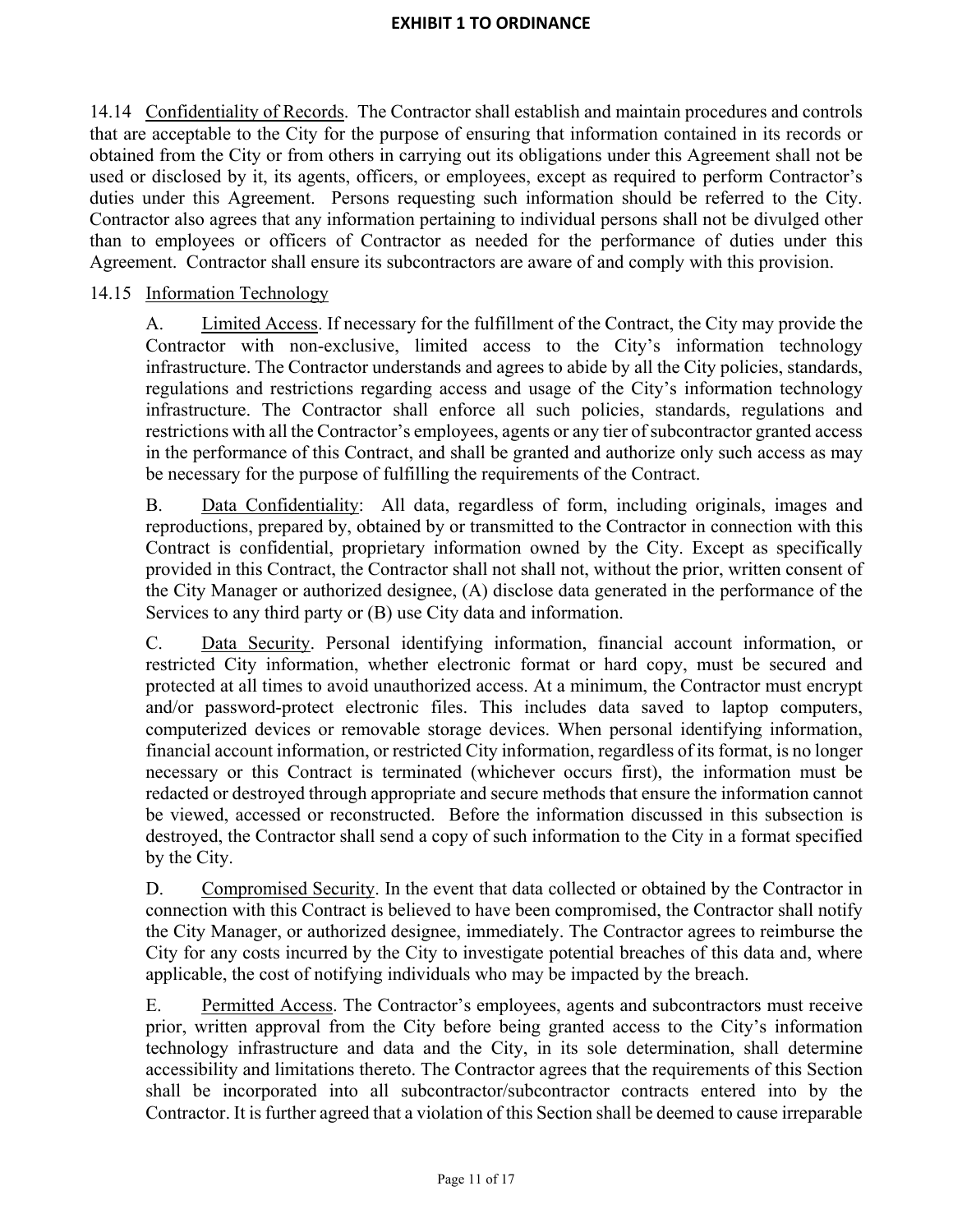14.14 Confidentiality of Records. The Contractor shall establish and maintain procedures and controls that are acceptable to the City for the purpose of ensuring that information contained in its records or obtained from the City or from others in carrying out its obligations under this Agreement shall not be used or disclosed by it, its agents, officers, or employees, except as required to perform Contractor's duties under this Agreement. Persons requesting such information should be referred to the City. Contractor also agrees that any information pertaining to individual persons shall not be divulged other than to employees or officers of Contractor as needed for the performance of duties under this Agreement. Contractor shall ensure its subcontractors are aware of and comply with this provision.

# 14.15 Information Technology

A. Limited Access. If necessary for the fulfillment of the Contract, the City may provide the Contractor with non-exclusive, limited access to the City's information technology infrastructure. The Contractor understands and agrees to abide by all the City policies, standards, regulations and restrictions regarding access and usage of the City's information technology infrastructure. The Contractor shall enforce all such policies, standards, regulations and restrictions with all the Contractor's employees, agents or any tier of subcontractor granted access in the performance of this Contract, and shall be granted and authorize only such access as may be necessary for the purpose of fulfilling the requirements of the Contract.

B. Data Confidentiality: All data, regardless of form, including originals, images and reproductions, prepared by, obtained by or transmitted to the Contractor in connection with this Contract is confidential, proprietary information owned by the City. Except as specifically provided in this Contract, the Contractor shall not shall not, without the prior, written consent of the City Manager or authorized designee, (A) disclose data generated in the performance of the Services to any third party or (B) use City data and information.

C. Data Security. Personal identifying information, financial account information, or restricted City information, whether electronic format or hard copy, must be secured and protected at all times to avoid unauthorized access. At a minimum, the Contractor must encrypt and/or password-protect electronic files. This includes data saved to laptop computers, computerized devices or removable storage devices. When personal identifying information, financial account information, or restricted City information, regardless of its format, is no longer necessary or this Contract is terminated (whichever occurs first), the information must be redacted or destroyed through appropriate and secure methods that ensure the information cannot be viewed, accessed or reconstructed. Before the information discussed in this subsection is destroyed, the Contractor shall send a copy of such information to the City in a format specified by the City.

D. Compromised Security. In the event that data collected or obtained by the Contractor in connection with this Contract is believed to have been compromised, the Contractor shall notify the City Manager, or authorized designee, immediately. The Contractor agrees to reimburse the City for any costs incurred by the City to investigate potential breaches of this data and, where applicable, the cost of notifying individuals who may be impacted by the breach.

E. Permitted Access. The Contractor's employees, agents and subcontractors must receive prior, written approval from the City before being granted access to the City's information technology infrastructure and data and the City, in its sole determination, shall determine accessibility and limitations thereto. The Contractor agrees that the requirements of this Section shall be incorporated into all subcontractor/subcontractor contracts entered into by the Contractor. It is further agreed that a violation of this Section shall be deemed to cause irreparable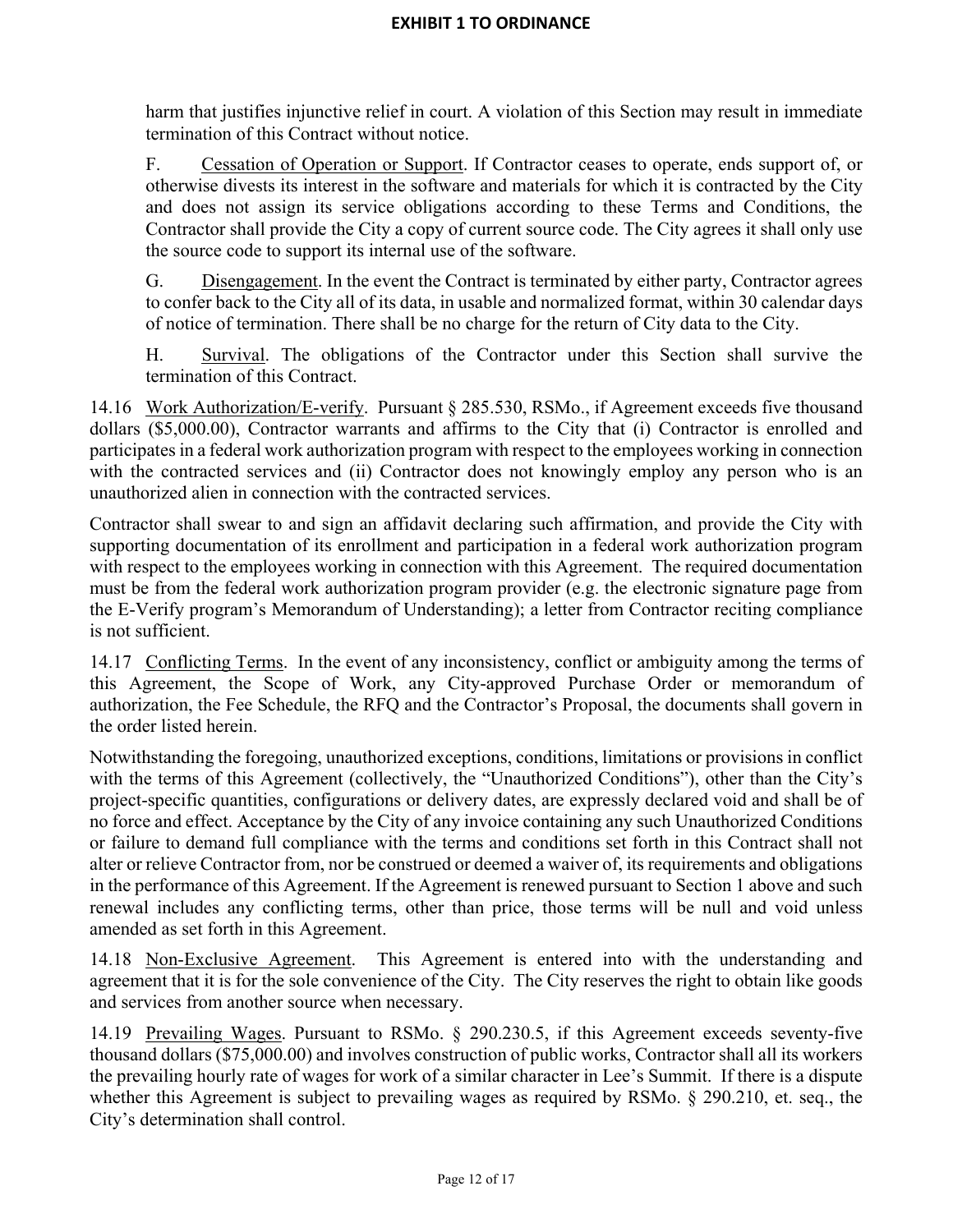harm that justifies injunctive relief in court. A violation of this Section may result in immediate termination of this Contract without notice.

F. Cessation of Operation or Support. If Contractor ceases to operate, ends support of, or otherwise divests its interest in the software and materials for which it is contracted by the City and does not assign its service obligations according to these Terms and Conditions, the Contractor shall provide the City a copy of current source code. The City agrees it shall only use the source code to support its internal use of the software.

G. Disengagement. In the event the Contract is terminated by either party, Contractor agrees to confer back to the City all of its data, in usable and normalized format, within 30 calendar days of notice of termination. There shall be no charge for the return of City data to the City.

H. Survival. The obligations of the Contractor under this Section shall survive the termination of this Contract.

14.16 Work Authorization/E-verify. Pursuant § 285.530, RSMo., if Agreement exceeds five thousand dollars (\$5,000.00), Contractor warrants and affirms to the City that (i) Contractor is enrolled and participates in a federal work authorization program with respect to the employees working in connection with the contracted services and (ii) Contractor does not knowingly employ any person who is an unauthorized alien in connection with the contracted services.

Contractor shall swear to and sign an affidavit declaring such affirmation, and provide the City with supporting documentation of its enrollment and participation in a federal work authorization program with respect to the employees working in connection with this Agreement. The required documentation must be from the federal work authorization program provider (e.g. the electronic signature page from the E-Verify program's Memorandum of Understanding); a letter from Contractor reciting compliance is not sufficient.

14.17 Conflicting Terms. In the event of any inconsistency, conflict or ambiguity among the terms of this Agreement, the Scope of Work, any City-approved Purchase Order or memorandum of authorization, the Fee Schedule, the RFQ and the Contractor's Proposal, the documents shall govern in the order listed herein.

Notwithstanding the foregoing, unauthorized exceptions, conditions, limitations or provisions in conflict with the terms of this Agreement (collectively, the "Unauthorized Conditions"), other than the City's project-specific quantities, configurations or delivery dates, are expressly declared void and shall be of no force and effect. Acceptance by the City of any invoice containing any such Unauthorized Conditions or failure to demand full compliance with the terms and conditions set forth in this Contract shall not alter or relieve Contractor from, nor be construed or deemed a waiver of, its requirements and obligations in the performance of this Agreement. If the Agreement is renewed pursuant to Section 1 above and such renewal includes any conflicting terms, other than price, those terms will be null and void unless amended as set forth in this Agreement.

14.18 Non-Exclusive Agreement. This Agreement is entered into with the understanding and agreement that it is for the sole convenience of the City. The City reserves the right to obtain like goods and services from another source when necessary.

14.19 Prevailing Wages. Pursuant to RSMo. § 290.230.5, if this Agreement exceeds seventy-five thousand dollars (\$75,000.00) and involves construction of public works, Contractor shall all its workers the prevailing hourly rate of wages for work of a similar character in Lee's Summit. If there is a dispute whether this Agreement is subject to prevailing wages as required by RSMo.  $\S$  290.210, et. seq., the City's determination shall control.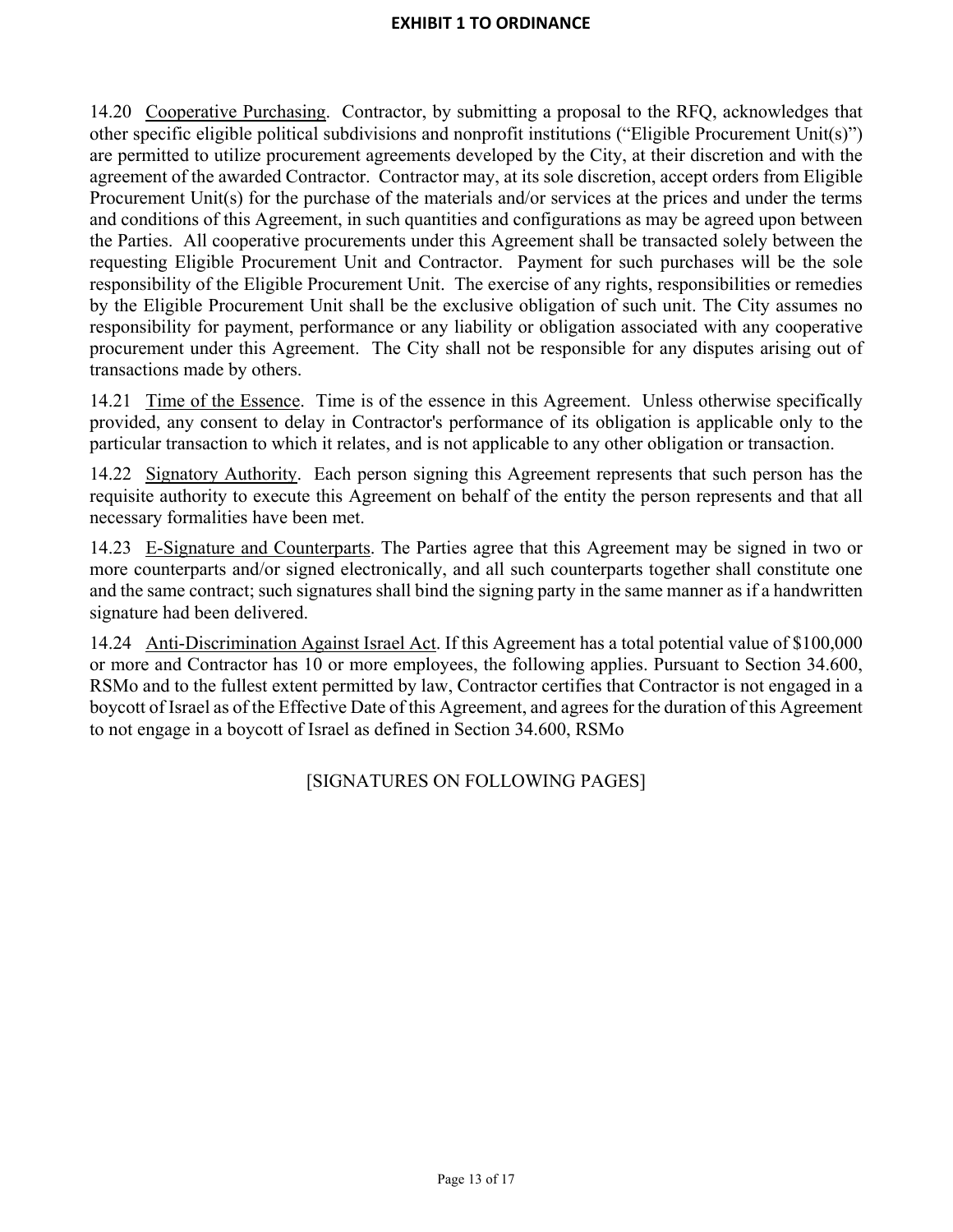14.20 Cooperative Purchasing. Contractor, by submitting a proposal to the RFQ, acknowledges that other specific eligible political subdivisions and nonprofit institutions ("Eligible Procurement Unit(s)") are permitted to utilize procurement agreements developed by the City, at their discretion and with the agreement of the awarded Contractor. Contractor may, at its sole discretion, accept orders from Eligible Procurement Unit(s) for the purchase of the materials and/or services at the prices and under the terms and conditions of this Agreement, in such quantities and configurations as may be agreed upon between the Parties. All cooperative procurements under this Agreement shall be transacted solely between the requesting Eligible Procurement Unit and Contractor. Payment for such purchases will be the sole responsibility of the Eligible Procurement Unit. The exercise of any rights, responsibilities or remedies by the Eligible Procurement Unit shall be the exclusive obligation of such unit. The City assumes no responsibility for payment, performance or any liability or obligation associated with any cooperative procurement under this Agreement. The City shall not be responsible for any disputes arising out of transactions made by others.

14.21 Time of the Essence. Time is of the essence in this Agreement. Unless otherwise specifically provided, any consent to delay in Contractor's performance of its obligation is applicable only to the particular transaction to which it relates, and is not applicable to any other obligation or transaction.

14.22 Signatory Authority. Each person signing this Agreement represents that such person has the requisite authority to execute this Agreement on behalf of the entity the person represents and that all necessary formalities have been met.

14.23 E-Signature and Counterparts. The Parties agree that this Agreement may be signed in two or more counterparts and/or signed electronically, and all such counterparts together shall constitute one and the same contract; such signatures shall bind the signing party in the same manner as if a handwritten signature had been delivered.

14.24 Anti-Discrimination Against Israel Act. If this Agreement has a total potential value of \$100,000 or more and Contractor has 10 or more employees, the following applies. Pursuant to Section 34.600, RSMo and to the fullest extent permitted by law, Contractor certifies that Contractor is not engaged in a boycott of Israel as of the Effective Date of this Agreement, and agrees for the duration of this Agreement to not engage in a boycott of Israel as defined in Section 34.600, RSMo

[SIGNATURES ON FOLLOWING PAGES]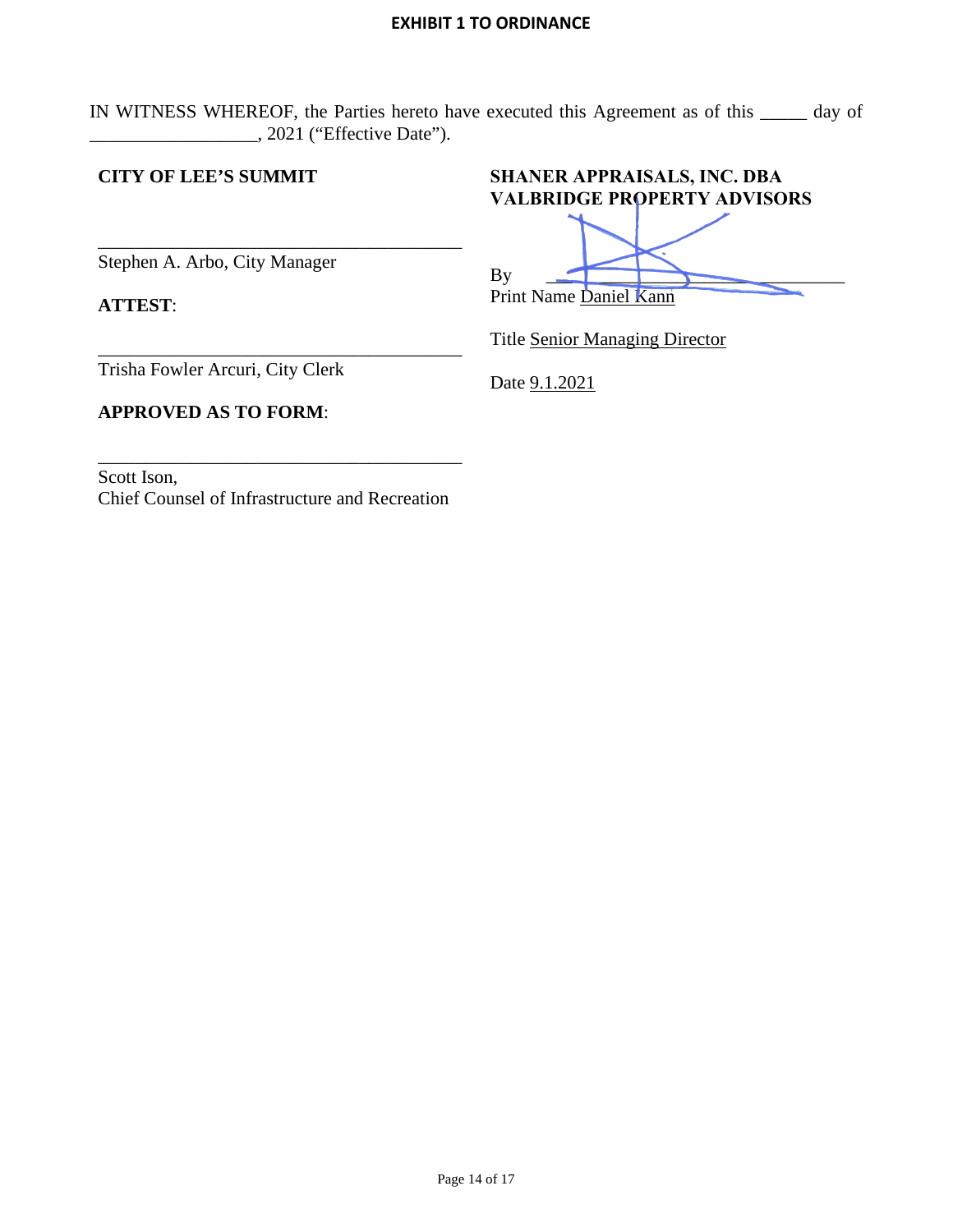IN WITNESS WHEREOF, the Parties hereto have executed this Agreement as of this \_\_\_\_\_ day of  $\_,$  2021 ("Effective Date").

# **CITY OF LEE'S SUMMIT**

\_\_\_\_\_\_\_\_\_\_\_\_\_\_\_\_\_\_\_\_\_\_\_\_\_\_\_\_\_\_\_\_\_\_\_\_\_\_\_ Stephen A. Arbo, City Manager

**ATTEST**:

**SHANER APPRAISALS, INC. DBA VALBRIDGE PROPERTY ADVISORS** 

By

| <b>Title Senior Managing Director</b> |  |
|---------------------------------------|--|

Print Name Daniel Kann

Trisha Fowler Arcuri, City Clerk

**APPROVED AS TO FORM**:

Date  $9.1.2021$ 

Scott Ison, Chief Counsel of Infrastructure and Recreation

\_\_\_\_\_\_\_\_\_\_\_\_\_\_\_\_\_\_\_\_\_\_\_\_\_\_\_\_\_\_\_\_\_\_\_\_\_\_\_

\_\_\_\_\_\_\_\_\_\_\_\_\_\_\_\_\_\_\_\_\_\_\_\_\_\_\_\_\_\_\_\_\_\_\_\_\_\_\_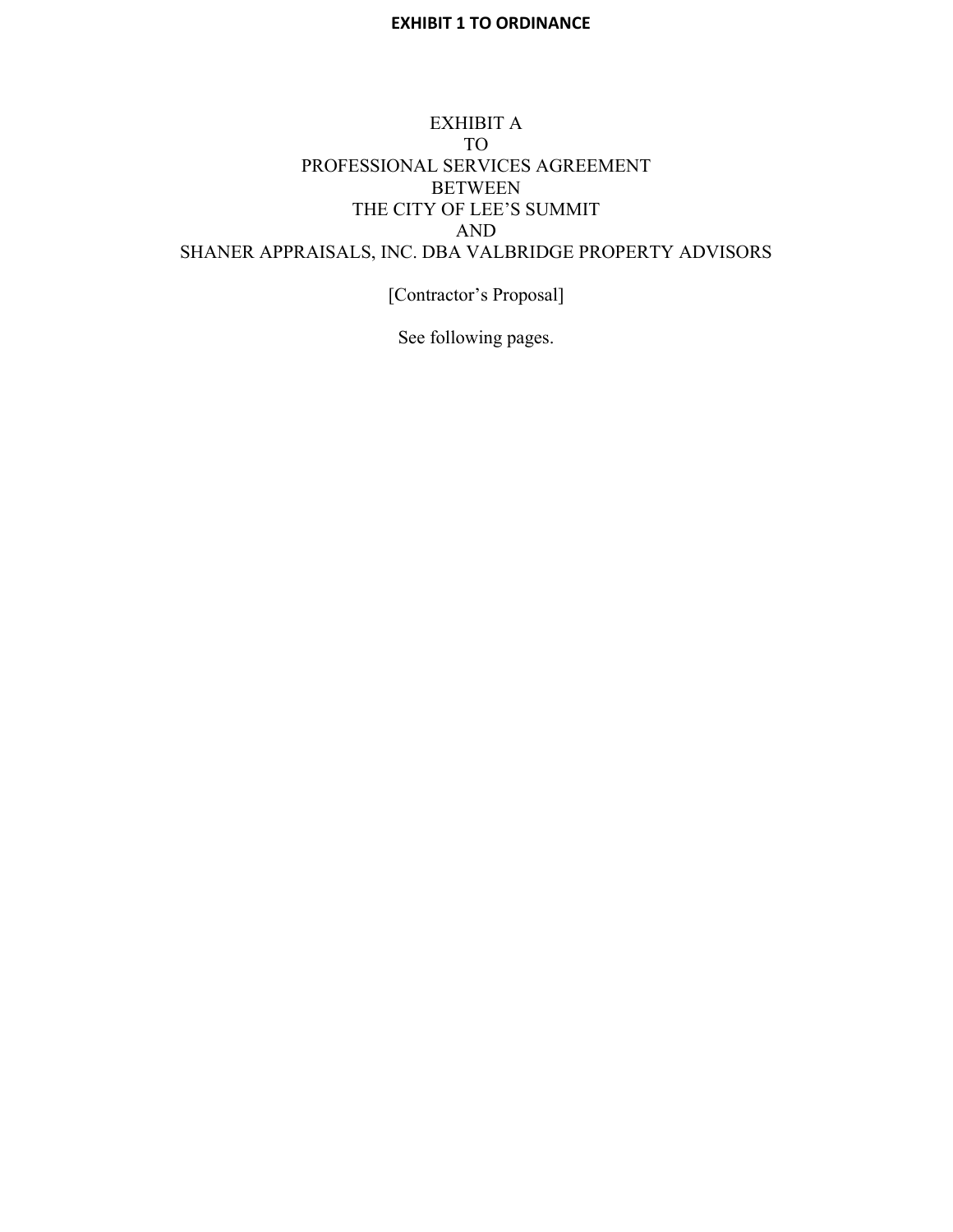# EXHIBIT A TO PROFESSIONAL SERVICES AGREEMENT BETWEEN THE CITY OF LEE'S SUMMIT AND SHANER APPRAISALS, INC. DBA VALBRIDGE PROPERTY ADVISORS

[Contractor's Proposal]

See following pages.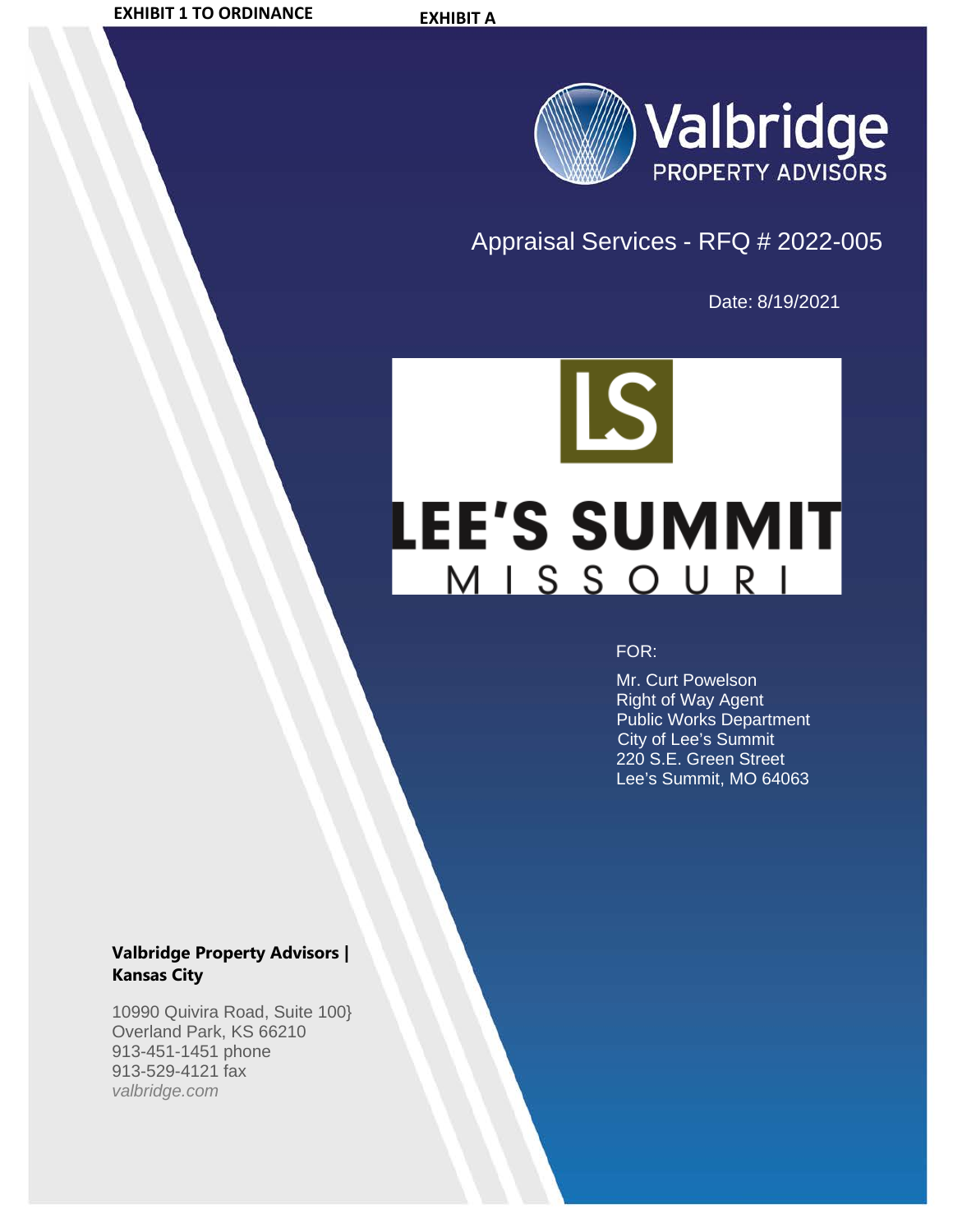

# Appraisal Services - RFQ # 2022-005

Date: 8/19/2021



## FOR:

 Mr. Curt Powelson Right of Way Agent Public Works Department City of Lee's Summit 220 S.E. Green Street Lee's Summit, MO 64063

# **Valbridge Property Advisors | Kansas City**

10990 Quivira Road, Suite 100} Overland Park, KS 66210 913-451-1451 phone 913-529-4121 fax *valbridge.com*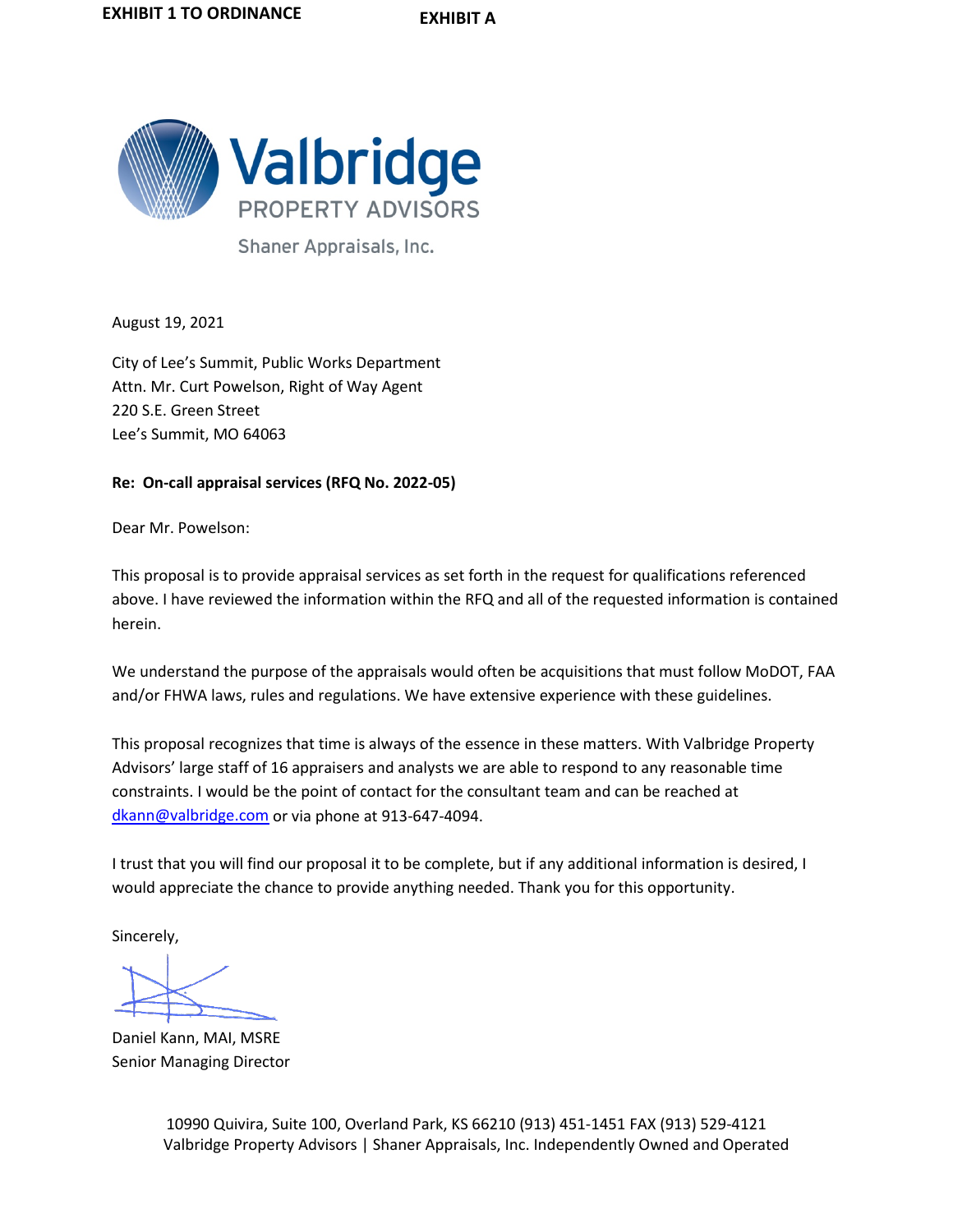

Shaner Appraisals, Inc.

August 19, 2021

City of Lee's Summit, Public Works Department Attn. Mr. Curt Powelson, Right of Way Agent 220 S.E. Green Street Lee's Summit, MO 64063

## **Re: On-call appraisal services (RFQ No. 2022-05)**

Dear Mr. Powelson:

This proposal is to provide appraisal services as set forth in the request for qualifications referenced above. I have reviewed the information within the RFQ and all of the requested information is contained herein.

We understand the purpose of the appraisals would often be acquisitions that must follow MoDOT, FAA and/or FHWA laws, rules and regulations. We have extensive experience with these guidelines.

This proposal recognizes that time is always of the essence in these matters. With Valbridge Property Advisors' large staff of 16 appraisers and analysts we are able to respond to any reasonable time constraints. I would be the point of contact for the consultant team and can be reached at [dkann@valbridge.com](mailto:dkann@valbridge.com) or via phone at 913-647-4094.

I trust that you will find our proposal it to be complete, but if any additional information is desired, I would appreciate the chance to provide anything needed. Thank you for this opportunity.

Sincerely,

Daniel Kann, MAI, MSRE Senior Managing Director

 10990 Quivira, Suite 100, Overland Park, KS 66210 (913) 451-1451 FAX (913) 529-4121 Valbridge Property Advisors | Shaner Appraisals, Inc. Independently Owned and Operated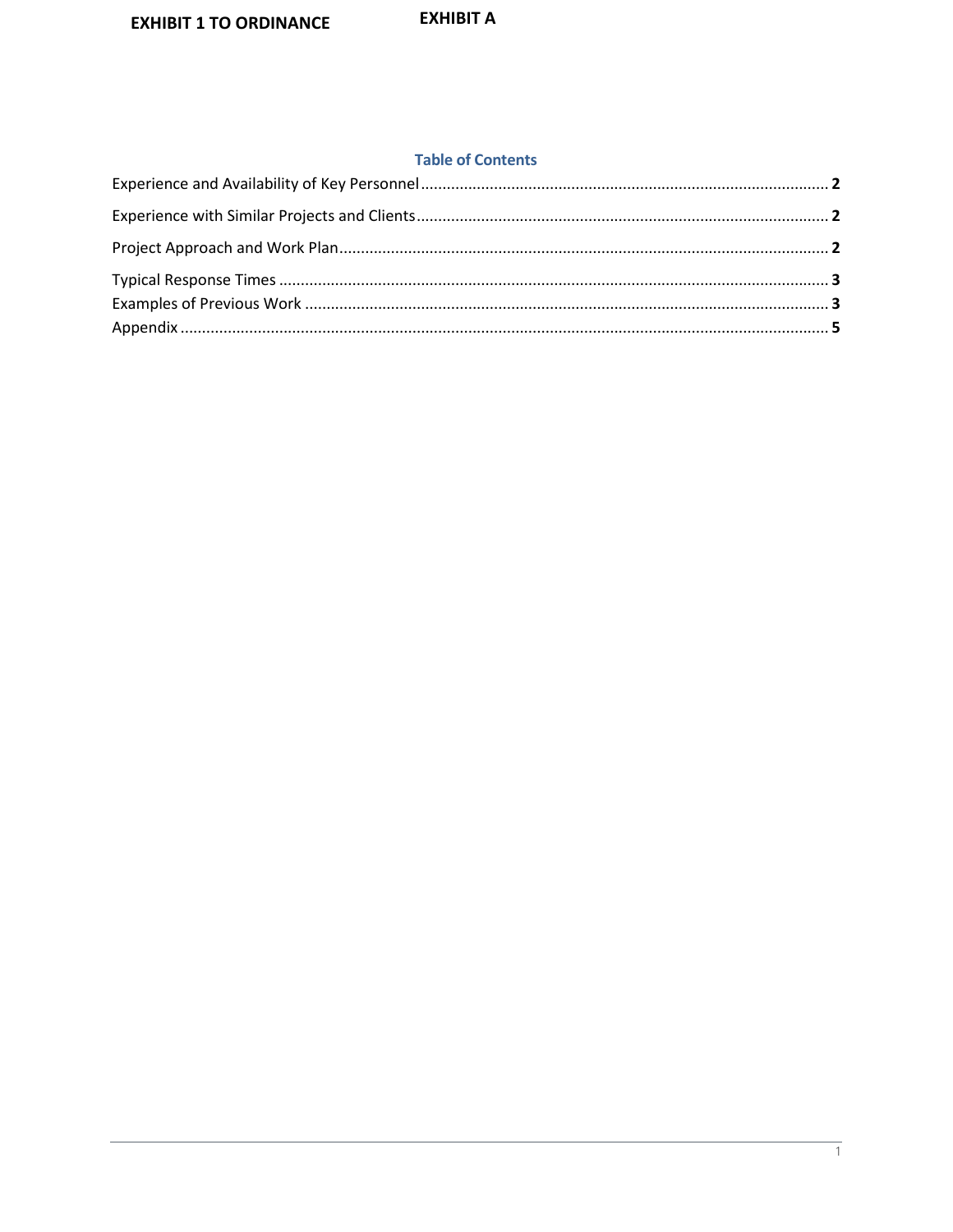#### **Table of Contents**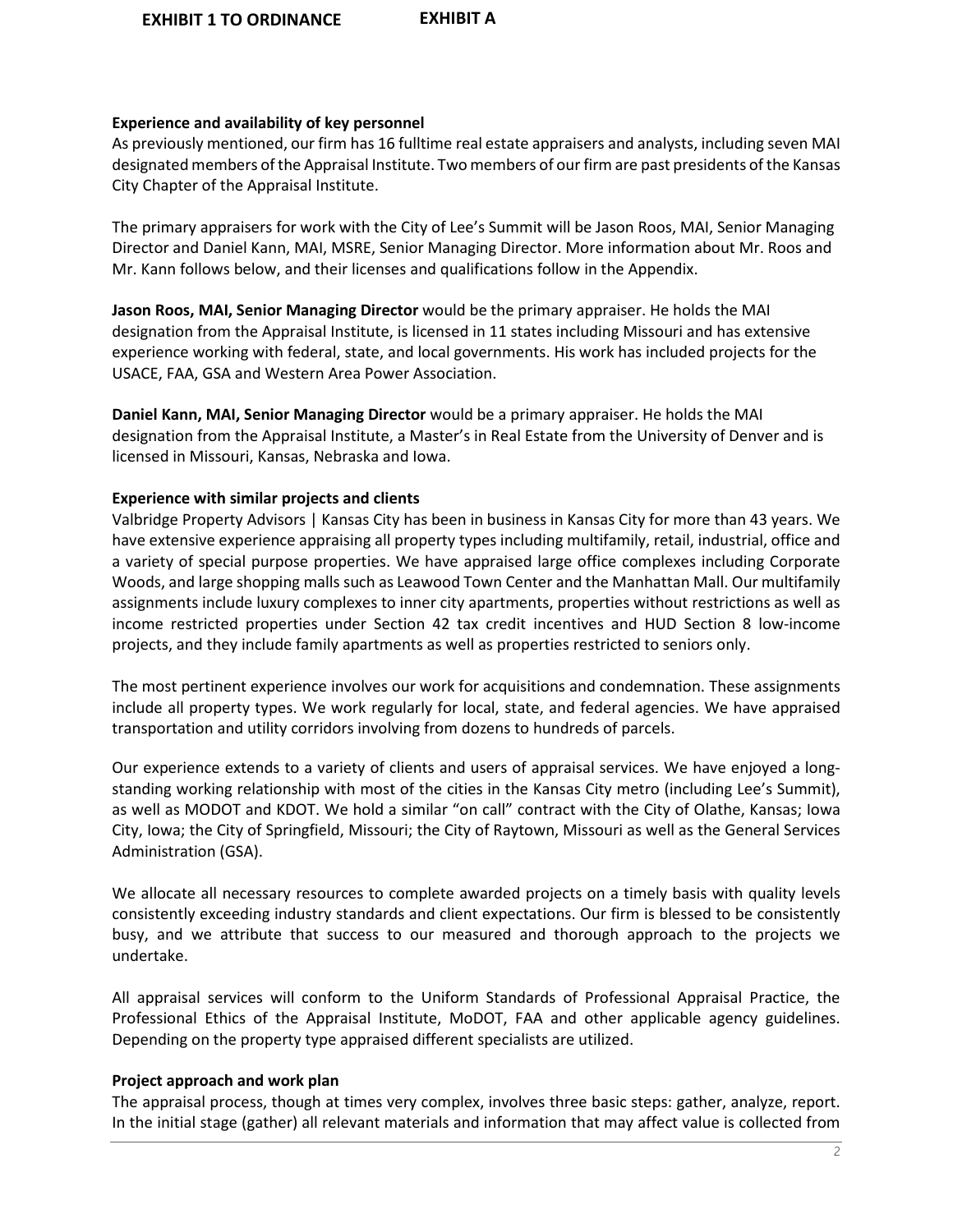## **Experience and availability of key personnel**

As previously mentioned, our firm has 16 fulltime real estate appraisers and analysts, including seven MAI designated members of the Appraisal Institute. Two members of our firm are past presidents of the Kansas City Chapter of the Appraisal Institute.

The primary appraisers for work with the City of Lee's Summit will be Jason Roos, MAI, Senior Managing Director and Daniel Kann, MAI, MSRE, Senior Managing Director. More information about Mr. Roos and Mr. Kann follows below, and their licenses and qualifications follow in the Appendix.

**Jason Roos, MAI, Senior Managing Director** would be the primary appraiser. He holds the MAI designation from the Appraisal Institute, is licensed in 11 states including Missouri and has extensive experience working with federal, state, and local governments. His work has included projects for the USACE, FAA, GSA and Western Area Power Association.

**Daniel Kann, MAI, Senior Managing Director** would be a primary appraiser. He holds the MAI designation from the Appraisal Institute, a Master's in Real Estate from the University of Denver and is licensed in Missouri, Kansas, Nebraska and Iowa.

## **Experience with similar projects and clients**

Valbridge Property Advisors | Kansas City has been in business in Kansas City for more than 43 years. We have extensive experience appraising all property types including multifamily, retail, industrial, office and a variety of special purpose properties. We have appraised large office complexes including Corporate Woods, and large shopping malls such as Leawood Town Center and the Manhattan Mall. Our multifamily assignments include luxury complexes to inner city apartments, properties without restrictions as well as income restricted properties under Section 42 tax credit incentives and HUD Section 8 low-income projects, and they include family apartments as well as properties restricted to seniors only.

The most pertinent experience involves our work for acquisitions and condemnation. These assignments include all property types. We work regularly for local, state, and federal agencies. We have appraised transportation and utility corridors involving from dozens to hundreds of parcels.

Our experience extends to a variety of clients and users of appraisal services. We have enjoyed a longstanding working relationship with most of the cities in the Kansas City metro (including Lee's Summit), as well as MODOT and KDOT. We hold a similar "on call" contract with the City of Olathe, Kansas; Iowa City, Iowa; the City of Springfield, Missouri; the City of Raytown, Missouri as well as the General Services Administration (GSA).

We allocate all necessary resources to complete awarded projects on a timely basis with quality levels consistently exceeding industry standards and client expectations. Our firm is blessed to be consistently busy, and we attribute that success to our measured and thorough approach to the projects we undertake.

All appraisal services will conform to the Uniform Standards of Professional Appraisal Practice, the Professional Ethics of the Appraisal Institute, MoDOT, FAA and other applicable agency guidelines. Depending on the property type appraised different specialists are utilized.

# **Project approach and work plan**

The appraisal process, though at times very complex, involves three basic steps: gather, analyze, report. In the initial stage (gather) all relevant materials and information that may affect value is collected from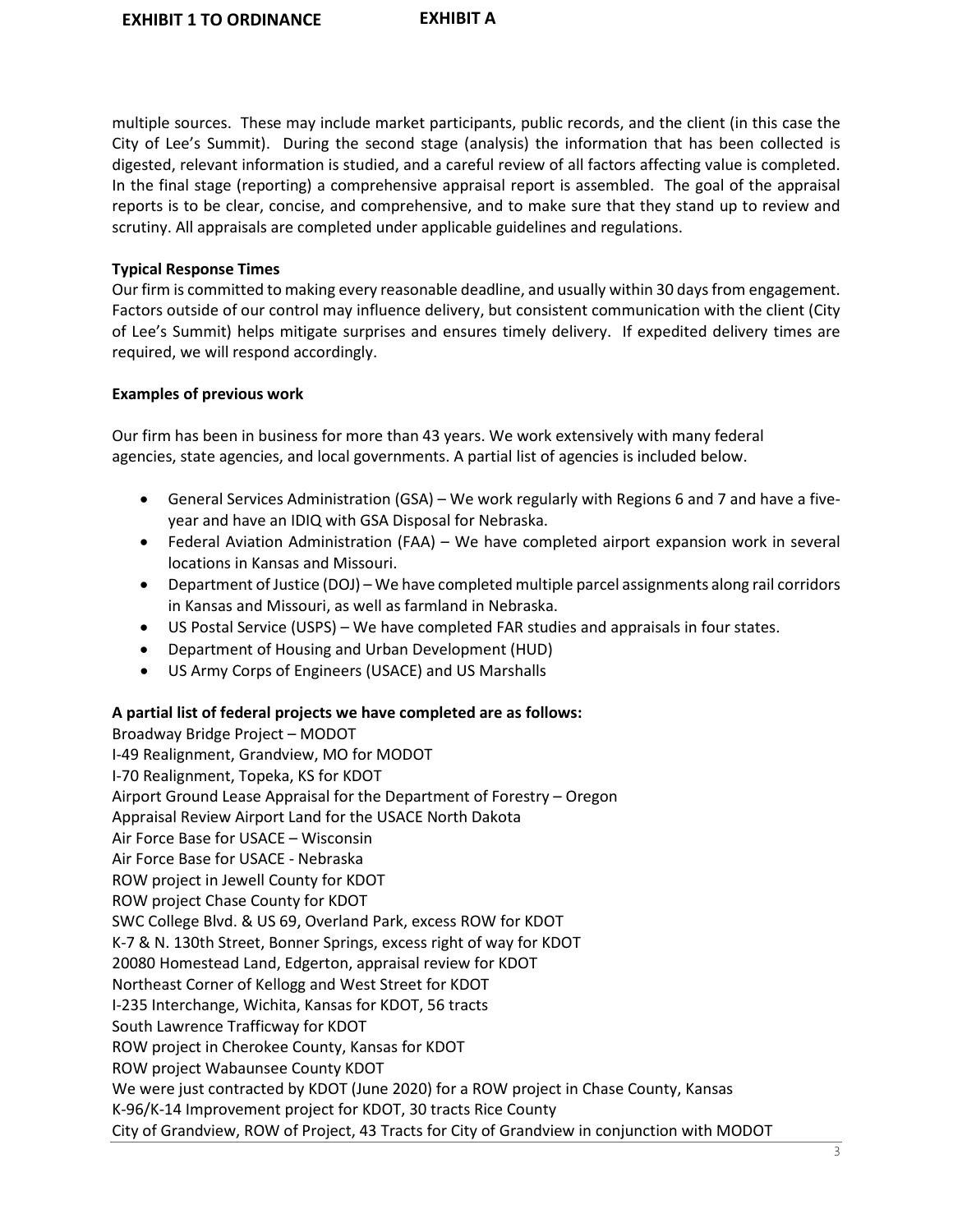multiple sources. These may include market participants, public records, and the client (in this case the City of Lee's Summit). During the second stage (analysis) the information that has been collected is digested, relevant information is studied, and a careful review of all factors affecting value is completed. In the final stage (reporting) a comprehensive appraisal report is assembled. The goal of the appraisal reports is to be clear, concise, and comprehensive, and to make sure that they stand up to review and scrutiny. All appraisals are completed under applicable guidelines and regulations.

## **Typical Response Times**

Our firm is committed to making every reasonable deadline, and usually within 30 days from engagement. Factors outside of our control may influence delivery, but consistent communication with the client (City of Lee's Summit) helps mitigate surprises and ensures timely delivery. If expedited delivery times are required, we will respond accordingly.

#### **Examples of previous work**

Our firm has been in business for more than 43 years. We work extensively with many federal agencies, state agencies, and local governments. A partial list of agencies is included below.

- General Services Administration (GSA) We work regularly with Regions 6 and 7 and have a fiveyear and have an IDIQ with GSA Disposal for Nebraska.
- Federal Aviation Administration (FAA) We have completed airport expansion work in several locations in Kansas and Missouri.
- Department of Justice (DOJ) We have completed multiple parcel assignments along rail corridors in Kansas and Missouri, as well as farmland in Nebraska.
- US Postal Service (USPS) We have completed FAR studies and appraisals in four states.
- Department of Housing and Urban Development (HUD)
- US Army Corps of Engineers (USACE) and US Marshalls

# **A partial list of federal projects we have completed are as follows:**

Broadway Bridge Project – MODOT I-49 Realignment, Grandview, MO for MODOT I-70 Realignment, Topeka, KS for KDOT Airport Ground Lease Appraisal for the Department of Forestry – Oregon Appraisal Review Airport Land for the USACE North Dakota Air Force Base for USACE – Wisconsin Air Force Base for USACE - Nebraska ROW project in Jewell County for KDOT ROW project Chase County for KDOT SWC College Blvd. & US 69, Overland Park, excess ROW for KDOT K-7 & N. 130th Street, Bonner Springs, excess right of way for KDOT 20080 Homestead Land, Edgerton, appraisal review for KDOT Northeast Corner of Kellogg and West Street for KDOT I-235 Interchange, Wichita, Kansas for KDOT, 56 tracts South Lawrence Trafficway for KDOT ROW project in Cherokee County, Kansas for KDOT ROW project Wabaunsee County KDOT We were just contracted by KDOT (June 2020) for a ROW project in Chase County, Kansas K-96/K-14 Improvement project for KDOT, 30 tracts Rice County City of Grandview, ROW of Project, 43 Tracts for City of Grandview in conjunction with MODOT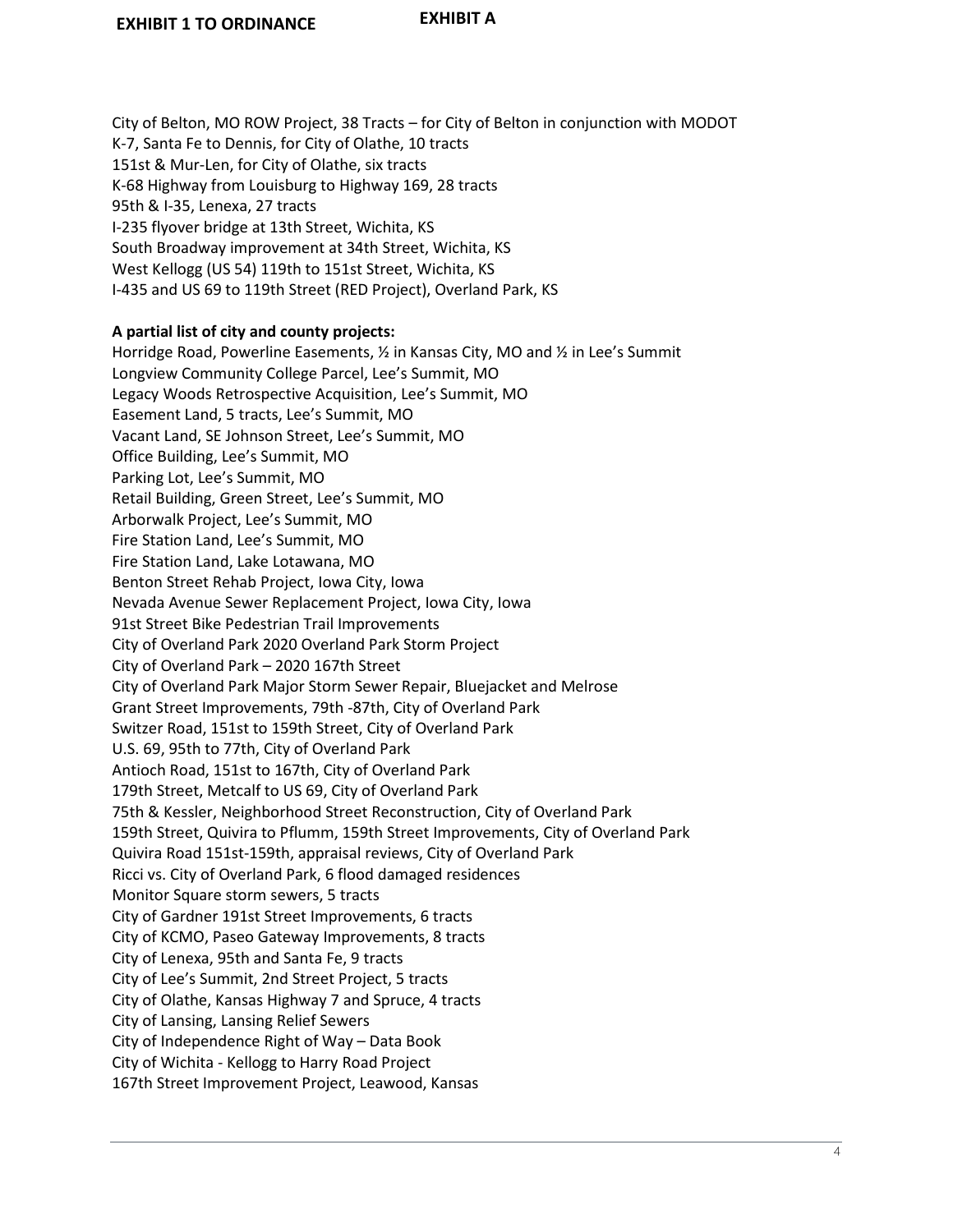City of Belton, MO ROW Project, 38 Tracts – for City of Belton in conjunction with MODOT K-7, Santa Fe to Dennis, for City of Olathe, 10 tracts 151st & Mur-Len, for City of Olathe, six tracts K-68 Highway from Louisburg to Highway 169, 28 tracts 95th & I-35, Lenexa, 27 tracts I-235 flyover bridge at 13th Street, Wichita, KS South Broadway improvement at 34th Street, Wichita, KS West Kellogg (US 54) 119th to 151st Street, Wichita, KS I-435 and US 69 to 119th Street (RED Project), Overland Park, KS

#### **A partial list of city and county projects:**

Horridge Road, Powerline Easements, ½ in Kansas City, MO and ½ in Lee's Summit Longview Community College Parcel, Lee's Summit, MO Legacy Woods Retrospective Acquisition, Lee's Summit, MO Easement Land, 5 tracts, Lee's Summit, MO Vacant Land, SE Johnson Street, Lee's Summit, MO Office Building, Lee's Summit, MO Parking Lot, Lee's Summit, MO Retail Building, Green Street, Lee's Summit, MO Arborwalk Project, Lee's Summit, MO Fire Station Land, Lee's Summit, MO Fire Station Land, Lake Lotawana, MO Benton Street Rehab Project, Iowa City, Iowa Nevada Avenue Sewer Replacement Project, Iowa City, Iowa 91st Street Bike Pedestrian Trail Improvements City of Overland Park 2020 Overland Park Storm Project City of Overland Park – 2020 167th Street City of Overland Park Major Storm Sewer Repair, Bluejacket and Melrose Grant Street Improvements, 79th -87th, City of Overland Park Switzer Road, 151st to 159th Street, City of Overland Park U.S. 69, 95th to 77th, City of Overland Park Antioch Road, 151st to 167th, City of Overland Park 179th Street, Metcalf to US 69, City of Overland Park 75th & Kessler, Neighborhood Street Reconstruction, City of Overland Park 159th Street, Quivira to Pflumm, 159th Street Improvements, City of Overland Park Quivira Road 151st-159th, appraisal reviews, City of Overland Park Ricci vs. City of Overland Park, 6 flood damaged residences Monitor Square storm sewers, 5 tracts City of Gardner 191st Street Improvements, 6 tracts City of KCMO, Paseo Gateway Improvements, 8 tracts City of Lenexa, 95th and Santa Fe, 9 tracts City of Lee's Summit, 2nd Street Project, 5 tracts City of Olathe, Kansas Highway 7 and Spruce, 4 tracts City of Lansing, Lansing Relief Sewers City of Independence Right of Way – Data Book City of Wichita - Kellogg to Harry Road Project 167th Street Improvement Project, Leawood, Kansas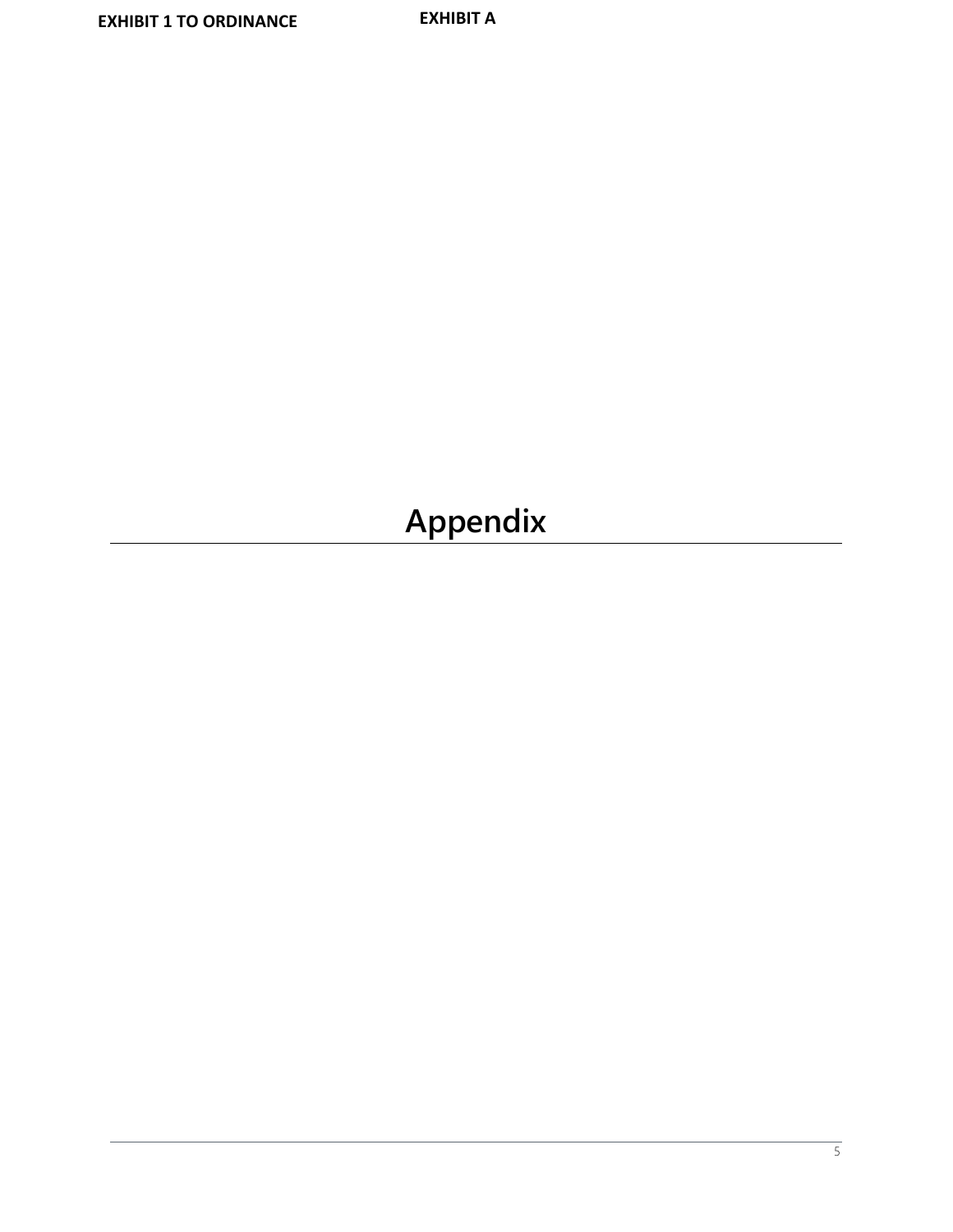# **Appendix**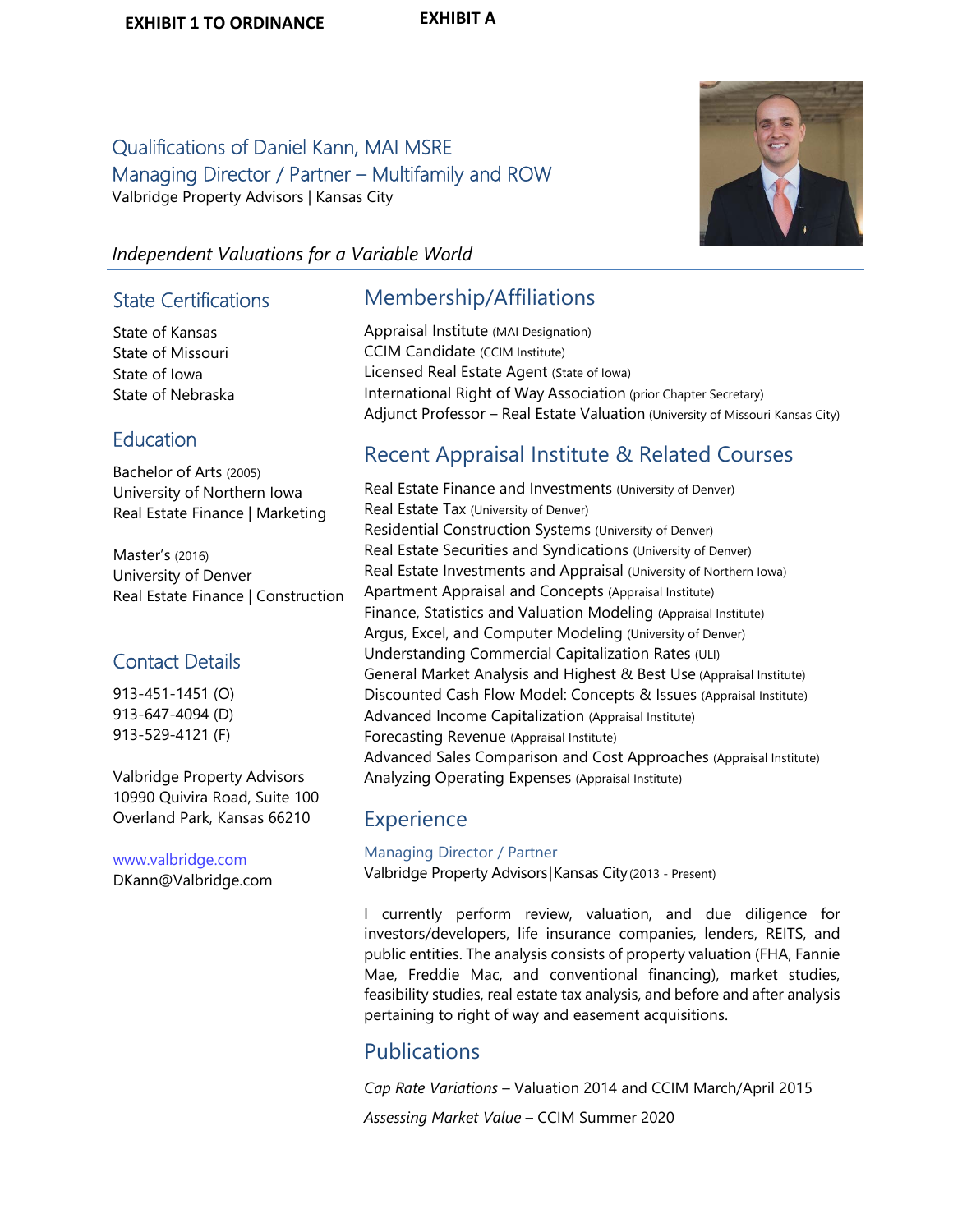# Qualifications of Daniel Kann, MAI MSRE Managing Director / Partner – Multifamily and ROW Valbridge Property Advisors | Kansas City



# *Independent Valuations for a Variable World*

# State Certifications

State of Kansas State of Missouri State of Iowa State of Nebraska

# **Education**

Bachelor of Arts (2005) University of Northern Iowa Real Estate Finance | Marketing

Master's (2016) University of Denver Real Estate Finance | Construction

# Contact Details

913-451-1451 (O) 913-647-4094 (D) 913-529-4121 (F)

Valbridge Property Advisors 10990 Quivira Road, Suite 100 Overland Park, Kansas 66210

www.valbridge.com DKann@Valbridge.com

# Membership/Affiliations

Appraisal Institute (MAI Designation) CCIM Candidate (CCIM Institute) Licensed Real Estate Agent (State of Iowa) International Right of Way Association (prior Chapter Secretary) Adjunct Professor – Real Estate Valuation (University of Missouri Kansas City)

# Recent Appraisal Institute & Related Courses

Real Estate Finance and Investments (University of Denver) Real Estate Tax (University of Denver) Residential Construction Systems (University of Denver) Real Estate Securities and Syndications (University of Denver) Real Estate Investments and Appraisal (University of Northern Iowa) Apartment Appraisal and Concepts (Appraisal Institute) Finance, Statistics and Valuation Modeling (Appraisal Institute) Argus, Excel, and Computer Modeling (University of Denver) Understanding Commercial Capitalization Rates (ULI) General Market Analysis and Highest & Best Use (Appraisal Institute) Discounted Cash Flow Model: Concepts & Issues (Appraisal Institute) Advanced Income Capitalization (Appraisal Institute) Forecasting Revenue (Appraisal Institute) Advanced Sales Comparison and Cost Approaches (Appraisal Institute) Analyzing Operating Expenses (Appraisal Institute)

# **Experience**

Managing Director / Partner Valbridge Property Advisors|Kansas City(2013 - Present)

I currently perform review, valuation, and due diligence for investors/developers, life insurance companies, lenders, REITS, and public entities. The analysis consists of property valuation (FHA, Fannie Mae, Freddie Mac, and conventional financing), market studies, feasibility studies, real estate tax analysis, and before and after analysis pertaining to right of way and easement acquisitions.

# Publications

*Cap Rate Variations* – Valuation 2014 and CCIM March/April 2015

*Assessing Market Value* – CCIM Summer 2020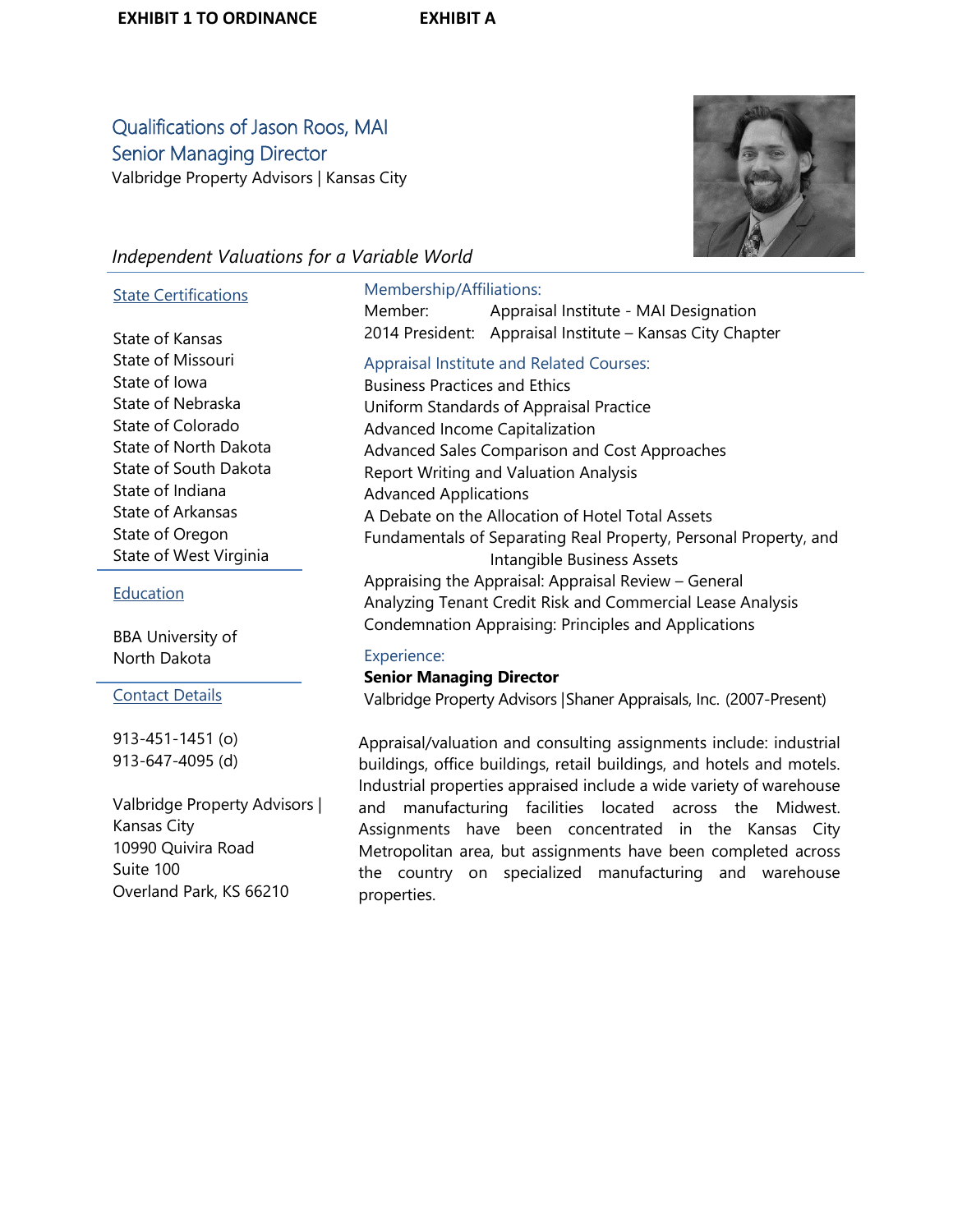# Qualifications of Jason Roos, MAI Senior Managing Director Valbridge Property Advisors | Kansas City



# *Independent Valuations for a Variable World*

#### State Certifications

State of Kansas State of Missouri State of Iowa State of Nebraska State of Colorado State of North Dakota State of South Dakota State of Indiana State of Arkansas State of Oregon State of West Virginia

#### Education

BBA University of North Dakota

Contact Details

913-451-1451 (o) 913-647-4095 (d)

Valbridge Property Advisors | Kansas City 10990 Quivira Road Suite 100 Overland Park, KS 66210

## Membership/Affiliations:

Member: Appraisal Institute - MAI Designation 2014 President: Appraisal Institute – Kansas City Chapter Appraisal Institute and Related Courses: Business Practices and Ethics Uniform Standards of Appraisal Practice Advanced Income Capitalization Advanced Sales Comparison and Cost Approaches Report Writing and Valuation Analysis Advanced Applications A Debate on the Allocation of Hotel Total Assets Fundamentals of Separating Real Property, Personal Property, and

Intangible Business Assets Appraising the Appraisal: Appraisal Review – General Analyzing Tenant Credit Risk and Commercial Lease Analysis Condemnation Appraising: Principles and Applications

#### Experience:

#### **Senior Managing Director**

Valbridge Property Advisors |Shaner Appraisals, Inc. (2007-Present)

Appraisal/valuation and consulting assignments include: industrial buildings, office buildings, retail buildings, and hotels and motels. Industrial properties appraised include a wide variety of warehouse and manufacturing facilities located across the Midwest. Assignments have been concentrated in the Kansas City Metropolitan area, but assignments have been completed across the country on specialized manufacturing and warehouse properties.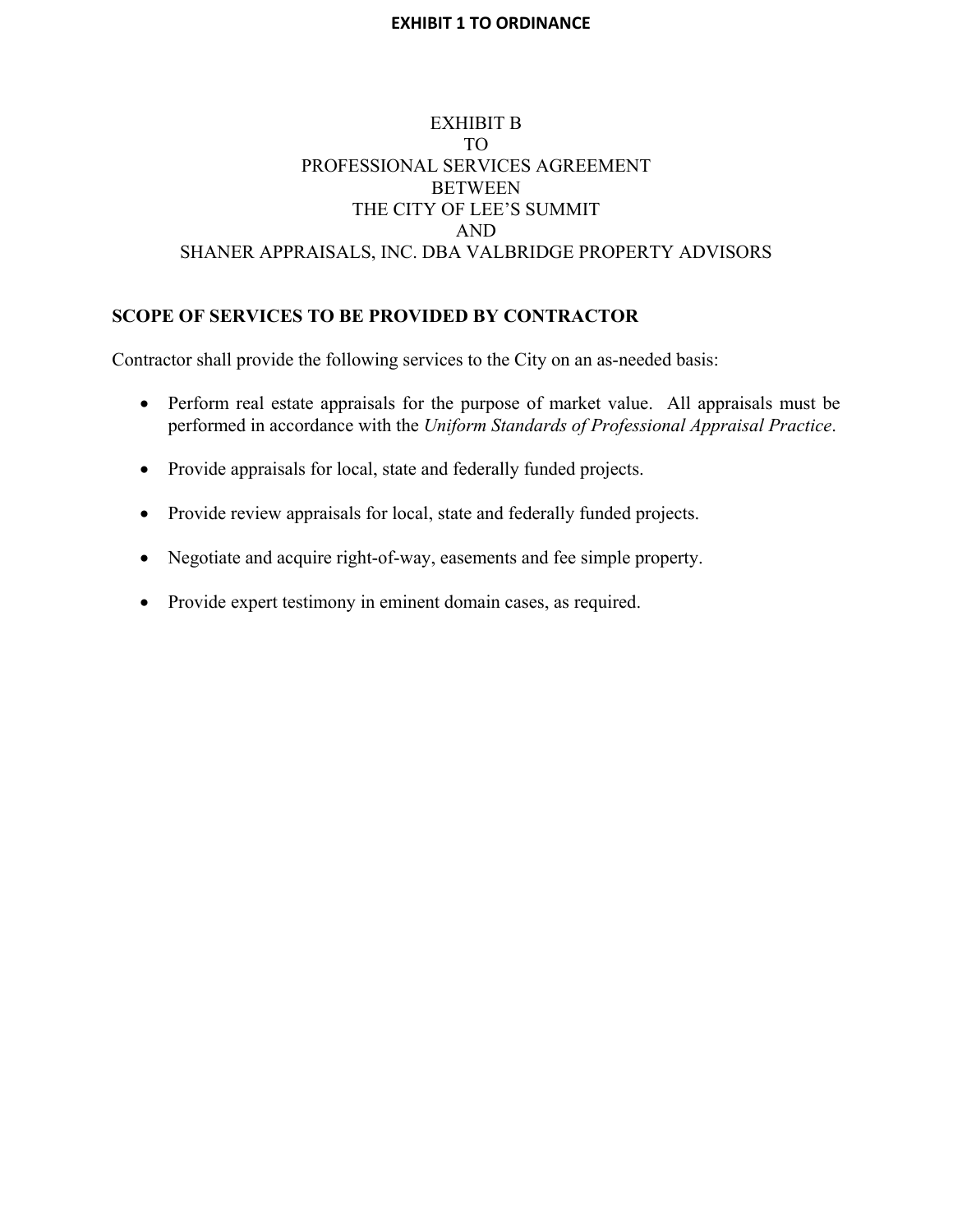# EXHIBIT B TO PROFESSIONAL SERVICES AGREEMENT BETWEEN THE CITY OF LEE'S SUMMIT AND SHANER APPRAISALS, INC. DBA VALBRIDGE PROPERTY ADVISORS

# **SCOPE OF SERVICES TO BE PROVIDED BY CONTRACTOR**

Contractor shall provide the following services to the City on an as-needed basis:

- Perform real estate appraisals for the purpose of market value. All appraisals must be performed in accordance with the *Uniform Standards of Professional Appraisal Practice*.
- Provide appraisals for local, state and federally funded projects.
- Provide review appraisals for local, state and federally funded projects.
- Negotiate and acquire right-of-way, easements and fee simple property.
- Provide expert testimony in eminent domain cases, as required.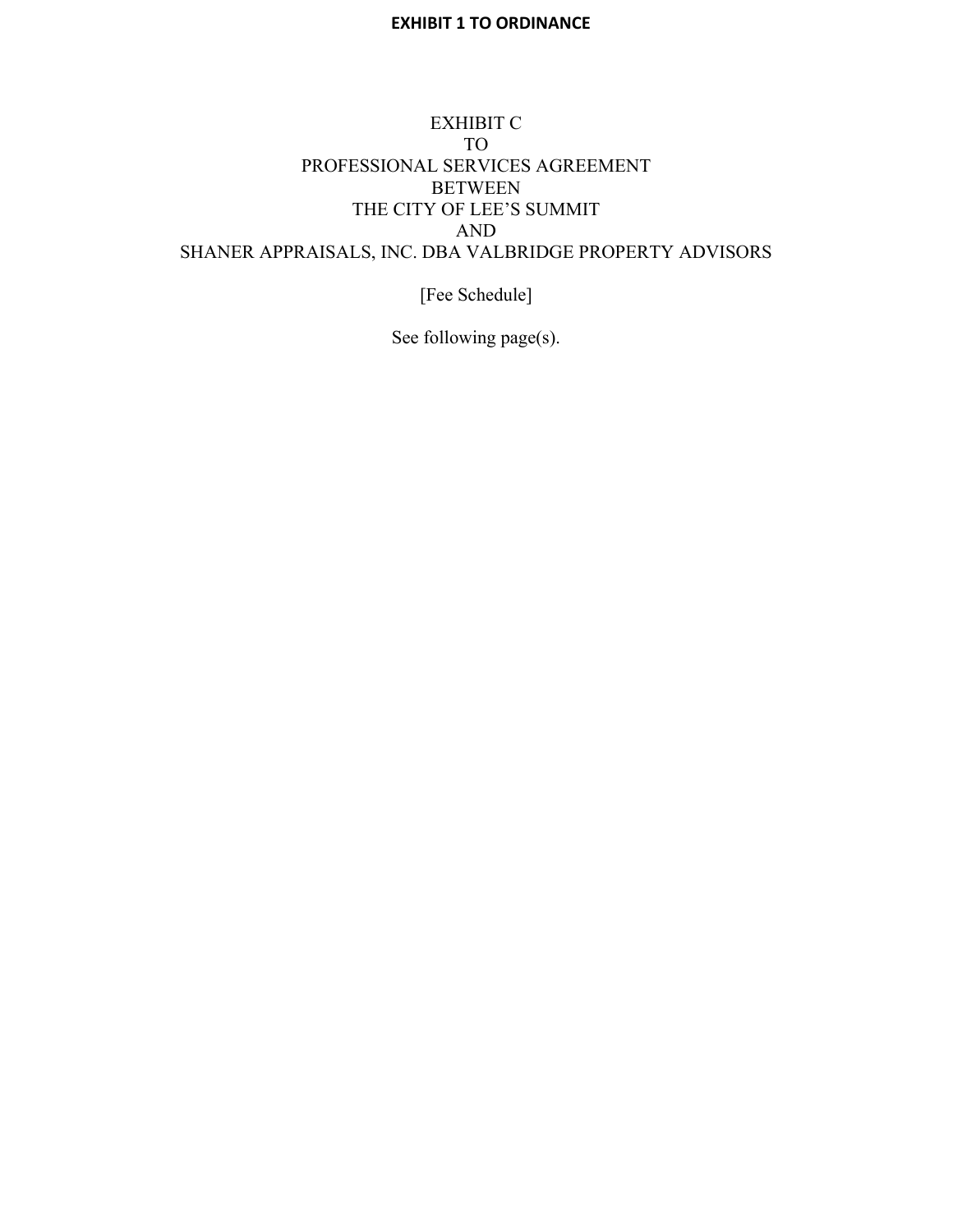# EXHIBIT C TO PROFESSIONAL SERVICES AGREEMENT BETWEEN THE CITY OF LEE'S SUMMIT AND SHANER APPRAISALS, INC. DBA VALBRIDGE PROPERTY ADVISORS

[Fee Schedule]

See following page(s).